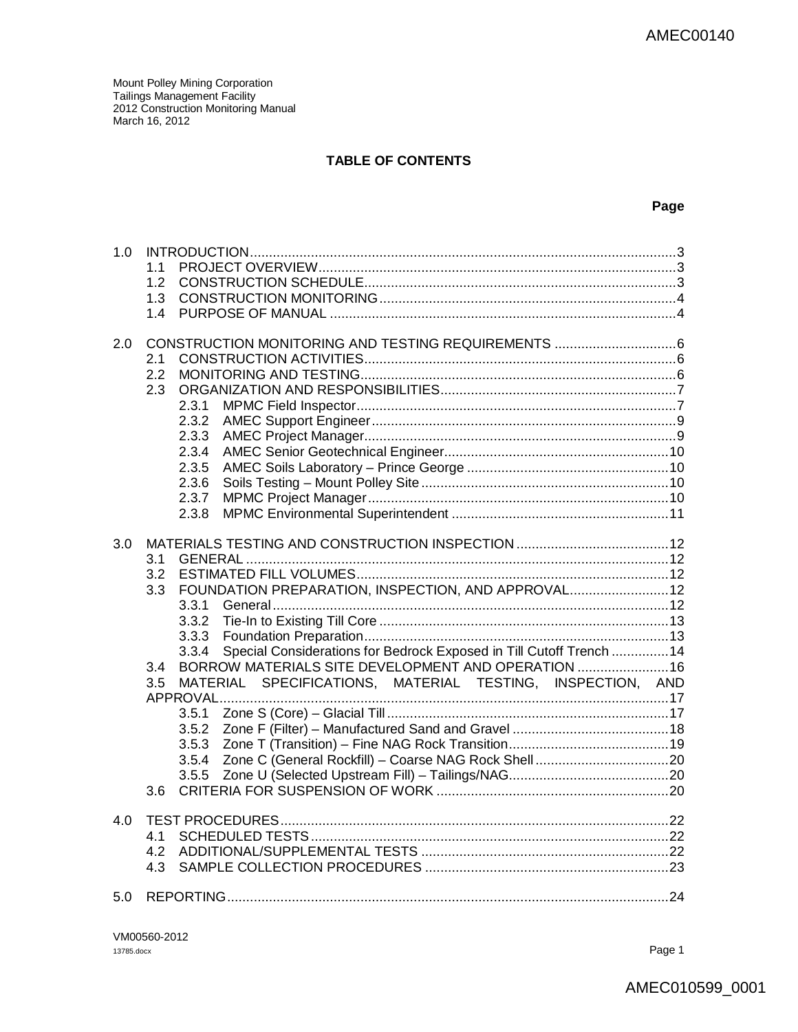### **TABLE OF CONTENTS**

### **Page**

| 1.0 |                                                                               |  |
|-----|-------------------------------------------------------------------------------|--|
|     | 1 <sub>1</sub>                                                                |  |
|     | 1.2                                                                           |  |
|     | 1.3                                                                           |  |
|     | 1.4                                                                           |  |
| 2.0 |                                                                               |  |
|     | 2.1                                                                           |  |
|     | 2.2                                                                           |  |
|     | 2.3                                                                           |  |
|     | 2.3.1                                                                         |  |
|     | 2.3.2                                                                         |  |
|     | 2.3.3                                                                         |  |
|     | 2.3.4                                                                         |  |
|     | 2.3.5                                                                         |  |
|     | 2.3.6                                                                         |  |
|     | 2.3.7                                                                         |  |
|     | 2.3.8                                                                         |  |
|     |                                                                               |  |
| 3.0 |                                                                               |  |
|     | 3.1                                                                           |  |
|     | 3.2                                                                           |  |
|     | FOUNDATION PREPARATION, INSPECTION, AND APPROVAL 12<br>3.3                    |  |
|     | 3.3.1                                                                         |  |
|     | 3.3.2                                                                         |  |
|     | 3.3.3                                                                         |  |
|     | Special Considerations for Bedrock Exposed in Till Cutoff Trench  14<br>3.3.4 |  |
|     | BORROW MATERIALS SITE DEVELOPMENT AND OPERATION  16<br>3.4                    |  |
|     | MATERIAL SPECIFICATIONS, MATERIAL TESTING, INSPECTION, AND<br>3.5             |  |
|     |                                                                               |  |
|     | 3.5.1                                                                         |  |
|     | 3.5.2                                                                         |  |
|     | 3.5.3                                                                         |  |
|     | 3.5.4                                                                         |  |
|     | 3.5.5                                                                         |  |
|     | 3.6                                                                           |  |
| 4.0 |                                                                               |  |
|     | 4.1                                                                           |  |
|     | 4.2                                                                           |  |
|     | 4.3                                                                           |  |
| 5.0 |                                                                               |  |
|     |                                                                               |  |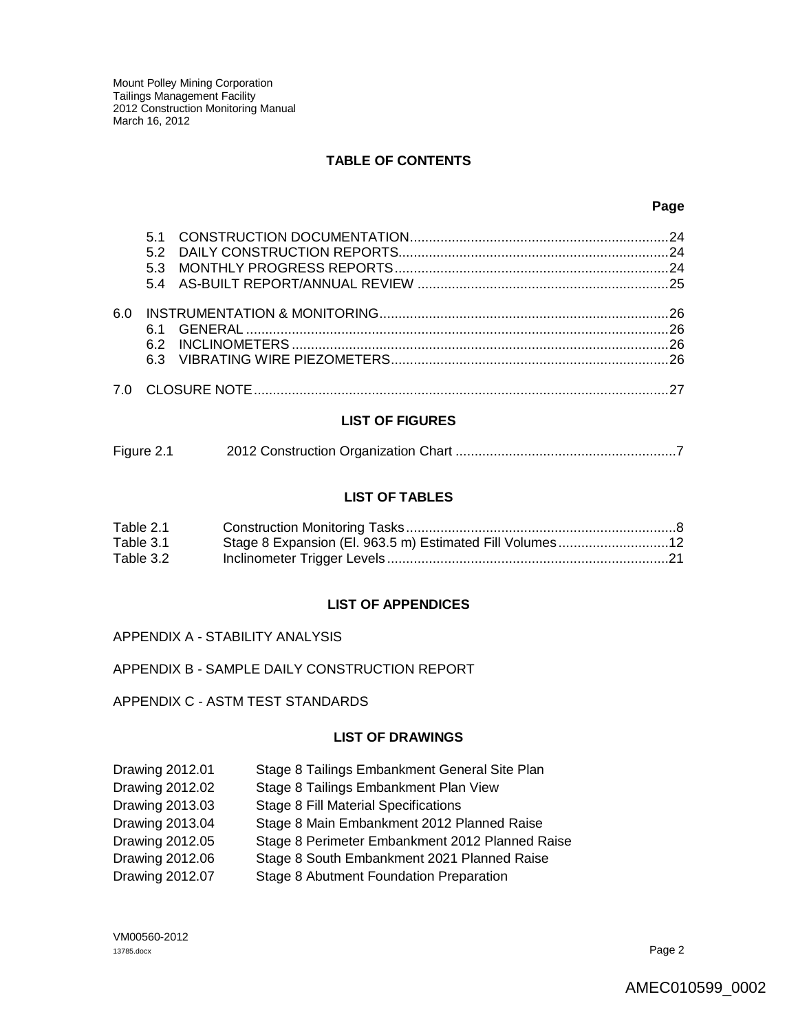### **TABLE OF CONTENTS**

|     |    | 24 |
|-----|----|----|
|     |    |    |
|     |    |    |
|     |    |    |
| 6 N |    |    |
|     |    |    |
|     | 62 |    |
|     | 63 |    |
|     |    |    |
|     |    |    |

#### **LIST OF FIGURES**

| Figure 2.1 |  |
|------------|--|
|            |  |

### **LIST OF TABLES**

| Table 2.1 |  |
|-----------|--|
| Table 3.1 |  |
| Table 3.2 |  |

### **LIST OF APPENDICES**

APPENDIX A - STABILITY ANALYSIS

### APPENDIX B - SAMPLE DAILY CONSTRUCTION REPORT

APPENDIX C - ASTM TEST STANDARDS

#### **LIST OF DRAWINGS**

| Drawing 2012.01 | Stage 8 Tailings Embankment General Site Plan   |
|-----------------|-------------------------------------------------|
| Drawing 2012.02 | Stage 8 Tailings Embankment Plan View           |
| Drawing 2013.03 | <b>Stage 8 Fill Material Specifications</b>     |
| Drawing 2013.04 | Stage 8 Main Embankment 2012 Planned Raise      |
| Drawing 2012.05 | Stage 8 Perimeter Embankment 2012 Planned Raise |
| Drawing 2012.06 | Stage 8 South Embankment 2021 Planned Raise     |
| Drawing 2012.07 | Stage 8 Abutment Foundation Preparation         |

VM00560-2012 13785.docx Page 2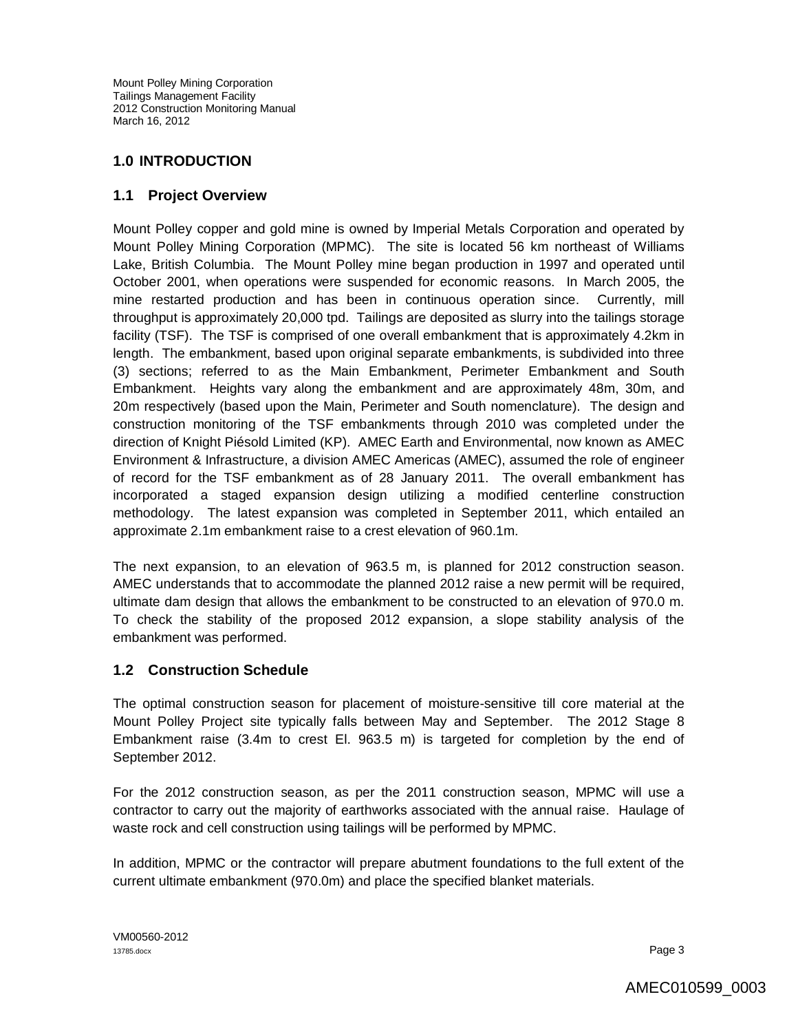## **1.0 INTRODUCTION**

## **1.1 Project Overview**

Mount Polley copper and gold mine is owned by Imperial Metals Corporation and operated by Mount Polley Mining Corporation (MPMC). The site is located 56 km northeast of Williams Lake, British Columbia. The Mount Polley mine began production in 1997 and operated until October 2001, when operations were suspended for economic reasons. In March 2005, the mine restarted production and has been in continuous operation since. Currently, mill throughput is approximately 20,000 tpd. Tailings are deposited as slurry into the tailings storage facility (TSF). The TSF is comprised of one overall embankment that is approximately 4.2km in length. The embankment, based upon original separate embankments, is subdivided into three (3) sections; referred to as the Main Embankment, Perimeter Embankment and South Embankment. Heights vary along the embankment and are approximately 48m, 30m, and 20m respectively (based upon the Main, Perimeter and South nomenclature). The design and construction monitoring of the TSF embankments through 2010 was completed under the direction of Knight Piésold Limited (KP). AMEC Earth and Environmental, now known as AMEC Environment & Infrastructure, a division AMEC Americas (AMEC), assumed the role of engineer of record for the TSF embankment as of 28 January 2011. The overall embankment has incorporated a staged expansion design utilizing a modified centerline construction methodology. The latest expansion was completed in September 2011, which entailed an approximate 2.1m embankment raise to a crest elevation of 960.1m.

The next expansion, to an elevation of 963.5 m, is planned for 2012 construction season. AMEC understands that to accommodate the planned 2012 raise a new permit will be required, ultimate dam design that allows the embankment to be constructed to an elevation of 970.0 m. To check the stability of the proposed 2012 expansion, a slope stability analysis of the embankment was performed.

## **1.2 Construction Schedule**

The optimal construction season for placement of moisture-sensitive till core material at the Mount Polley Project site typically falls between May and September. The 2012 Stage 8 Embankment raise (3.4m to crest El. 963.5 m) is targeted for completion by the end of September 2012.

For the 2012 construction season, as per the 2011 construction season, MPMC will use a contractor to carry out the majority of earthworks associated with the annual raise. Haulage of waste rock and cell construction using tailings will be performed by MPMC.

In addition, MPMC or the contractor will prepare abutment foundations to the full extent of the current ultimate embankment (970.0m) and place the specified blanket materials.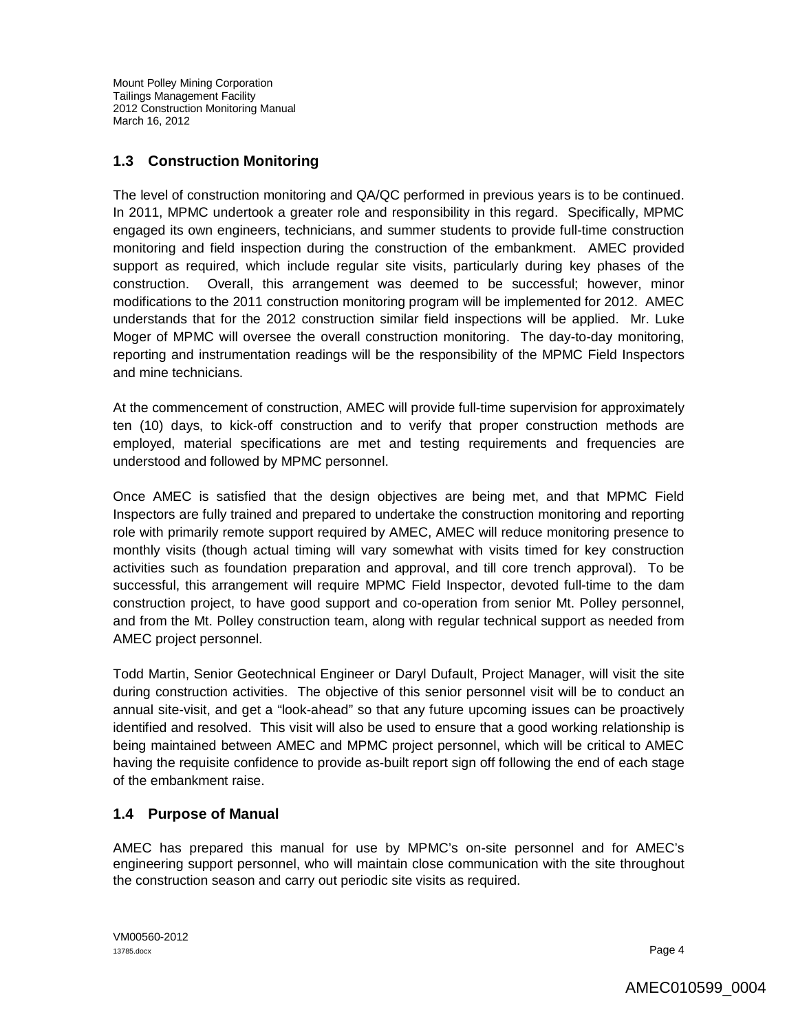## **1.3 Construction Monitoring**

The level of construction monitoring and QA/QC performed in previous years is to be continued. In 2011, MPMC undertook a greater role and responsibility in this regard. Specifically, MPMC engaged its own engineers, technicians, and summer students to provide full-time construction monitoring and field inspection during the construction of the embankment. AMEC provided support as required, which include regular site visits, particularly during key phases of the construction. Overall, this arrangement was deemed to be successful; however, minor modifications to the 2011 construction monitoring program will be implemented for 2012. AMEC understands that for the 2012 construction similar field inspections will be applied. Mr. Luke Moger of MPMC will oversee the overall construction monitoring. The day-to-day monitoring, reporting and instrumentation readings will be the responsibility of the MPMC Field Inspectors and mine technicians.

At the commencement of construction, AMEC will provide full-time supervision for approximately ten (10) days, to kick-off construction and to verify that proper construction methods are employed, material specifications are met and testing requirements and frequencies are understood and followed by MPMC personnel.

Once AMEC is satisfied that the design objectives are being met, and that MPMC Field Inspectors are fully trained and prepared to undertake the construction monitoring and reporting role with primarily remote support required by AMEC, AMEC will reduce monitoring presence to monthly visits (though actual timing will vary somewhat with visits timed for key construction activities such as foundation preparation and approval, and till core trench approval). To be successful, this arrangement will require MPMC Field Inspector, devoted full-time to the dam construction project, to have good support and co-operation from senior Mt. Polley personnel, and from the Mt. Polley construction team, along with regular technical support as needed from AMEC project personnel.

Todd Martin, Senior Geotechnical Engineer or Daryl Dufault, Project Manager, will visit the site during construction activities. The objective of this senior personnel visit will be to conduct an annual site-visit, and get a "look-ahead" so that any future upcoming issues can be proactively identified and resolved. This visit will also be used to ensure that a good working relationship is being maintained between AMEC and MPMC project personnel, which will be critical to AMEC having the requisite confidence to provide as-built report sign off following the end of each stage of the embankment raise.

## **1.4 Purpose of Manual**

AMEC has prepared this manual for use by MPMC's on-site personnel and for AMEC's engineering support personnel, who will maintain close communication with the site throughout the construction season and carry out periodic site visits as required.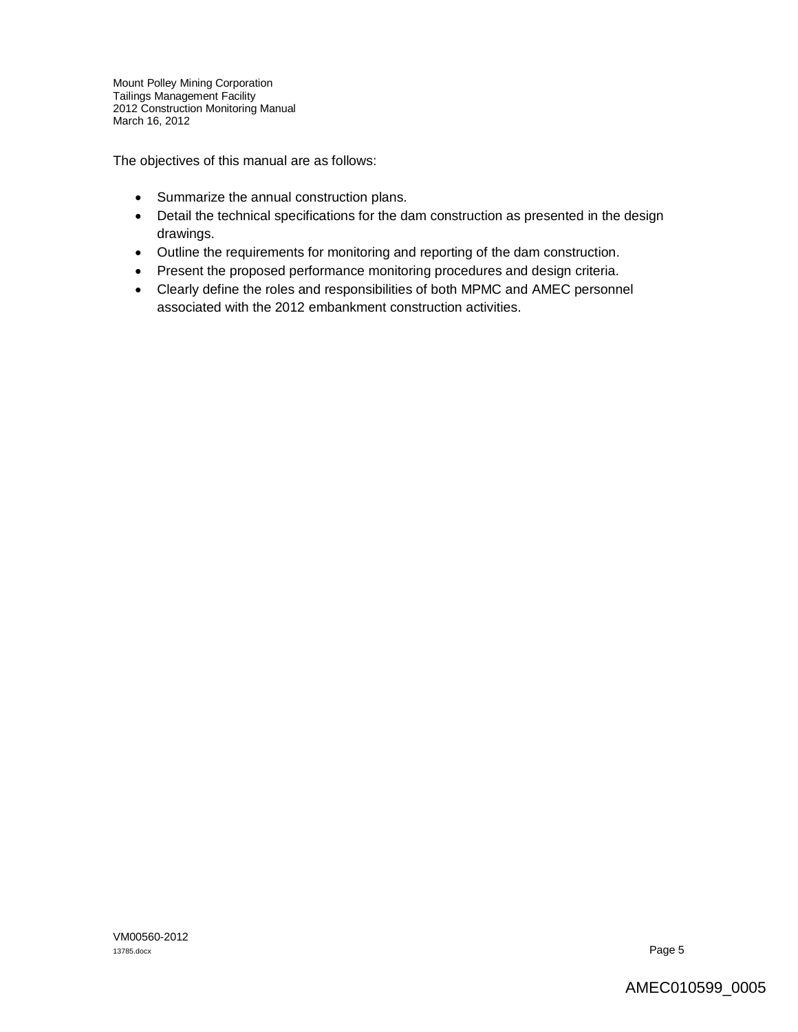The objectives of this manual are as follows:

- Summarize the annual construction plans.
- Detail the technical specifications for the dam construction as presented in the design drawings.
- Outline the requirements for monitoring and reporting of the dam construction.
- Present the proposed performance monitoring procedures and design criteria.
- Clearly define the roles and responsibilities of both MPMC and AMEC personnel associated with the 2012 embankment construction activities.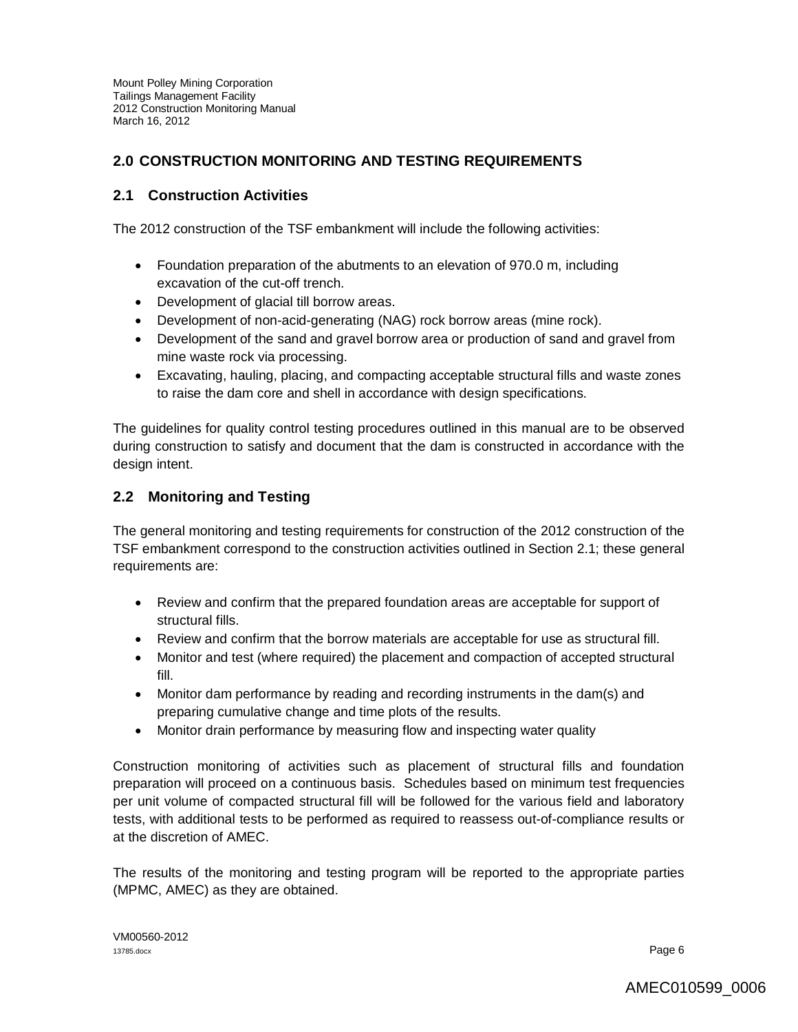## **2.0 CONSTRUCTION MONITORING AND TESTING REQUIREMENTS**

### **2.1 Construction Activities**

The 2012 construction of the TSF embankment will include the following activities:

- Foundation preparation of the abutments to an elevation of 970.0 m, including excavation of the cut-off trench.
- Development of glacial till borrow areas.
- Development of non-acid-generating (NAG) rock borrow areas (mine rock).
- Development of the sand and gravel borrow area or production of sand and gravel from mine waste rock via processing.
- Excavating, hauling, placing, and compacting acceptable structural fills and waste zones to raise the dam core and shell in accordance with design specifications.

The guidelines for quality control testing procedures outlined in this manual are to be observed during construction to satisfy and document that the dam is constructed in accordance with the design intent.

## **2.2 Monitoring and Testing**

The general monitoring and testing requirements for construction of the 2012 construction of the TSF embankment correspond to the construction activities outlined in Section 2.1; these general requirements are:

- Review and confirm that the prepared foundation areas are acceptable for support of structural fills.
- Review and confirm that the borrow materials are acceptable for use as structural fill.
- Monitor and test (where required) the placement and compaction of accepted structural fill.
- Monitor dam performance by reading and recording instruments in the dam(s) and preparing cumulative change and time plots of the results.
- Monitor drain performance by measuring flow and inspecting water quality

Construction monitoring of activities such as placement of structural fills and foundation preparation will proceed on a continuous basis. Schedules based on minimum test frequencies per unit volume of compacted structural fill will be followed for the various field and laboratory tests, with additional tests to be performed as required to reassess out-of-compliance results or at the discretion of AMEC.

The results of the monitoring and testing program will be reported to the appropriate parties (MPMC, AMEC) as they are obtained.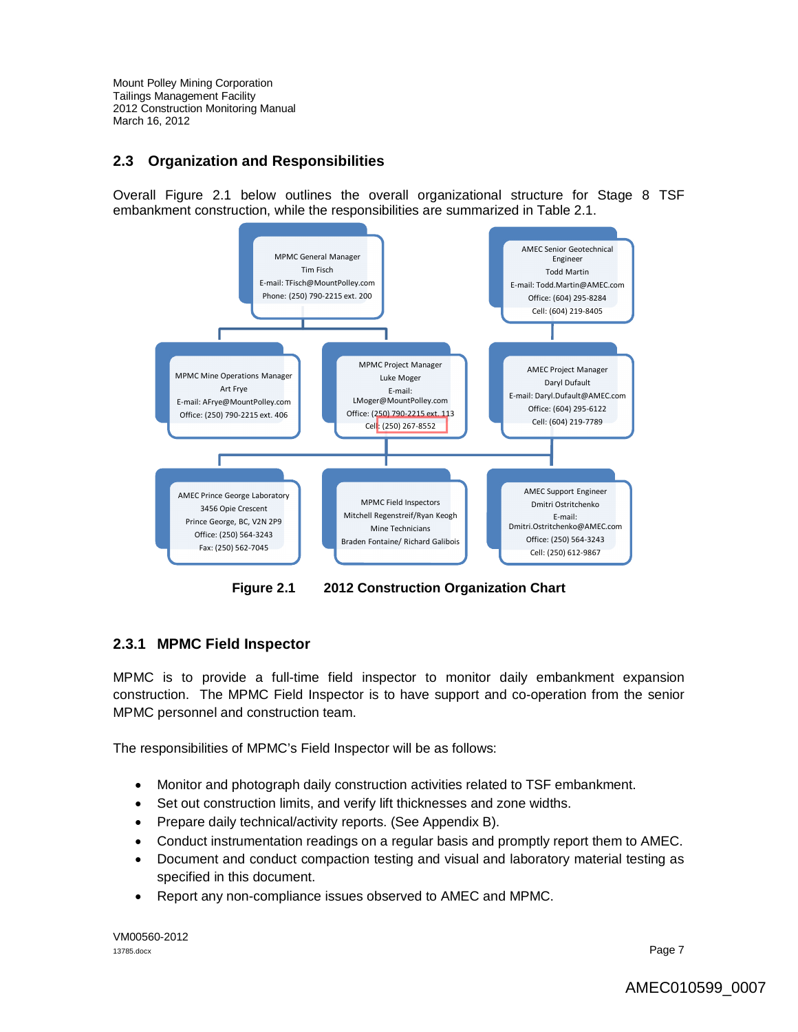## **2.3 Organization and Responsibilities**

Overall Figure 2.1 below outlines the overall organizational structure for Stage 8 TSF embankment construction, while the responsibilities are summarized in Table 2.1.



**Figure 2.1 2012 Construction Organization Chart**

## **2.3.1 MPMC Field Inspector**

MPMC is to provide a full-time field inspector to monitor daily embankment expansion construction. The MPMC Field Inspector is to have support and co-operation from the senior MPMC personnel and construction team.

The responsibilities of MPMC's Field Inspector will be as follows:

- Monitor and photograph daily construction activities related to TSF embankment.
- Set out construction limits, and verify lift thicknesses and zone widths.
- Prepare daily technical/activity reports. (See Appendix B).
- Conduct instrumentation readings on a regular basis and promptly report them to AMEC.
- Document and conduct compaction testing and visual and laboratory material testing as specified in this document.
- Report any non-compliance issues observed to AMEC and MPMC.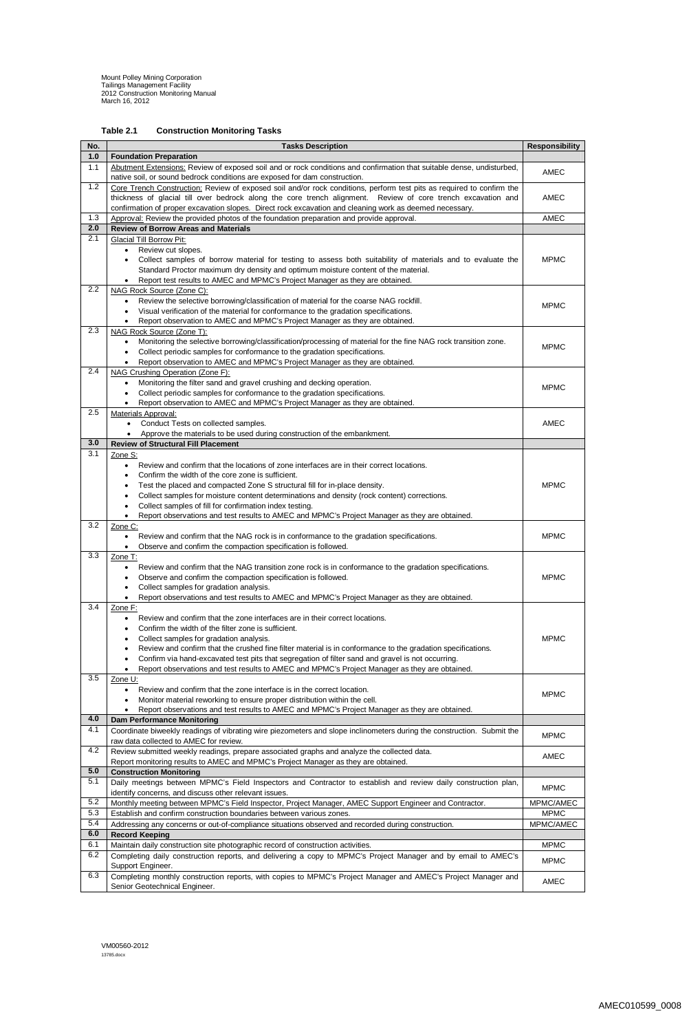VM00560-2012 13785.docx

# **Table 2.1 Construction Monitoring Tasks**

| No. | <b>Tasks Description</b>                                                                                                                               | <b>Responsibility</b> |
|-----|--------------------------------------------------------------------------------------------------------------------------------------------------------|-----------------------|
| 1.0 | <b>Foundation Preparation</b>                                                                                                                          |                       |
| 1.1 | Abutment Extensions: Review of exposed soil and or rock conditions and confirmation that suitable dense, undisturbed,                                  |                       |
|     | native soil, or sound bedrock conditions are exposed for dam construction.                                                                             | <b>AMEC</b>           |
| 1.2 | Core Trench Construction: Review of exposed soil and/or rock conditions, perform test pits as required to confirm the                                  |                       |
|     | thickness of glacial till over bedrock along the core trench alignment. Review of core trench excavation and                                           | AMEC                  |
|     | confirmation of proper excavation slopes. Direct rock excavation and cleaning work as deemed necessary.                                                |                       |
| 1.3 | Approval: Review the provided photos of the foundation preparation and provide approval.                                                               | <b>AMEC</b>           |
| 2.0 | <b>Review of Borrow Areas and Materials</b>                                                                                                            |                       |
| 2.1 | <b>Glacial Till Borrow Pit:</b>                                                                                                                        |                       |
|     | Review cut slopes.<br>$\bullet$                                                                                                                        |                       |
|     | Collect samples of borrow material for testing to assess both suitability of materials and to evaluate the                                             | <b>MPMC</b>           |
|     | Standard Proctor maximum dry density and optimum moisture content of the material.                                                                     |                       |
| 2.2 | Report test results to AMEC and MPMC's Project Manager as they are obtained.<br>NAG Rock Source (Zone C):                                              |                       |
|     | Review the selective borrowing/classification of material for the coarse NAG rockfill.<br>$\bullet$                                                    |                       |
|     | Visual verification of the material for conformance to the gradation specifications.                                                                   | <b>MPMC</b>           |
|     | Report observation to AMEC and MPMC's Project Manager as they are obtained.                                                                            |                       |
| 2.3 | NAG Rock Source (Zone T):                                                                                                                              |                       |
|     | Monitoring the selective borrowing/classification/processing of material for the fine NAG rock transition zone.<br>$\bullet$                           |                       |
|     | Collect periodic samples for conformance to the gradation specifications.                                                                              | <b>MPMC</b>           |
|     | Report observation to AMEC and MPMC's Project Manager as they are obtained.                                                                            |                       |
| 2.4 | NAG Crushing Operation (Zone F):                                                                                                                       |                       |
|     | Monitoring the filter sand and gravel crushing and decking operation.<br>$\bullet$                                                                     | <b>MPMC</b>           |
|     | Collect periodic samples for conformance to the gradation specifications.<br>$\bullet$                                                                 |                       |
|     | Report observation to AMEC and MPMC's Project Manager as they are obtained.                                                                            |                       |
| 2.5 | <b>Materials Approval:</b>                                                                                                                             |                       |
|     | Conduct Tests on collected samples.<br>$\bullet$                                                                                                       | <b>AMEC</b>           |
|     | Approve the materials to be used during construction of the embankment.<br>$\bullet$                                                                   |                       |
| 3.0 | <b>Review of Structural Fill Placement</b>                                                                                                             |                       |
| 3.1 | Zone S:                                                                                                                                                |                       |
|     | Review and confirm that the locations of zone interfaces are in their correct locations.                                                               |                       |
|     | Confirm the width of the core zone is sufficient.<br>$\bullet$                                                                                         |                       |
|     | Test the placed and compacted Zone S structural fill for in-place density.                                                                             | <b>MPMC</b>           |
|     | Collect samples for moisture content determinations and density (rock content) corrections.<br>Collect samples of fill for confirmation index testing. |                       |
|     | Report observations and test results to AMEC and MPMC's Project Manager as they are obtained.<br>$\bullet$                                             |                       |
| 3.2 | Zone C:                                                                                                                                                |                       |
|     | Review and confirm that the NAG rock is in conformance to the gradation specifications.<br>$\bullet$                                                   | <b>MPMC</b>           |
|     | Observe and confirm the compaction specification is followed.                                                                                          |                       |
| 3.3 | Zone T:                                                                                                                                                |                       |
|     | Review and confirm that the NAG transition zone rock is in conformance to the gradation specifications.<br>$\bullet$                                   |                       |
|     | Observe and confirm the compaction specification is followed.<br>$\bullet$                                                                             | <b>MPMC</b>           |
|     | Collect samples for gradation analysis.<br>$\bullet$                                                                                                   |                       |
|     | Report observations and test results to AMEC and MPMC's Project Manager as they are obtained.<br>$\bullet$                                             |                       |
| 3.4 | Zone F:                                                                                                                                                |                       |
|     | Review and confirm that the zone interfaces are in their correct locations.<br>$\bullet$                                                               |                       |
|     | Confirm the width of the filter zone is sufficient.<br>$\bullet$                                                                                       |                       |
|     | Collect samples for gradation analysis.<br>$\bullet$                                                                                                   | <b>MPMC</b>           |
|     | Review and confirm that the crushed fine filter material is in conformance to the gradation specifications.<br>$\bullet$                               |                       |
|     | Confirm via hand-excavated test pits that segregation of filter sand and gravel is not occurring.<br>$\bullet$                                         |                       |
|     | Report observations and test results to AMEC and MPMC's Project Manager as they are obtained.                                                          |                       |
| 3.5 | Zone U:                                                                                                                                                |                       |
|     | Review and confirm that the zone interface is in the correct location.<br>$\bullet$                                                                    | <b>MPMC</b>           |
|     | Monitor material reworking to ensure proper distribution within the cell.                                                                              |                       |
| 4.0 | Report observations and test results to AMEC and MPMC's Project Manager as they are obtained.<br><b>Dam Performance Monitoring</b>                     |                       |
| 4.1 | Coordinate biweekly readings of vibrating wire piezometers and slope inclinometers during the construction. Submit the                                 |                       |
|     | raw data collected to AMEC for review.                                                                                                                 | <b>MPMC</b>           |
| 4.2 | Review submitted weekly readings, prepare associated graphs and analyze the collected data.                                                            |                       |
|     | Report monitoring results to AMEC and MPMC's Project Manager as they are obtained.                                                                     | <b>AMEC</b>           |
| 5.0 | <b>Construction Monitoring</b>                                                                                                                         |                       |
| 5.1 | Daily meetings between MPMC's Field Inspectors and Contractor to establish and review daily construction plan,                                         |                       |
|     | identify concerns, and discuss other relevant issues.                                                                                                  | <b>MPMC</b>           |
| 5.2 | Monthly meeting between MPMC's Field Inspector, Project Manager, AMEC Support Engineer and Contractor.                                                 | MPMC/AMEC             |
| 5.3 | Establish and confirm construction boundaries between various zones.                                                                                   | <b>MPMC</b>           |
| 5.4 | Addressing any concerns or out-of-compliance situations observed and recorded during construction.                                                     | MPMC/AMEC             |
| 6.0 | <b>Record Keeping</b>                                                                                                                                  |                       |
| 6.1 | Maintain daily construction site photographic record of construction activities.                                                                       | <b>MPMC</b>           |
| 6.2 | Completing daily construction reports, and delivering a copy to MPMC's Project Manager and by email to AMEC's                                          |                       |
|     | Support Engineer.                                                                                                                                      | <b>MPMC</b>           |
| 6.3 | Completing monthly construction reports, with copies to MPMC's Project Manager and AMEC's Project Manager and                                          |                       |
|     | Senior Geotechnical Engineer.                                                                                                                          | AMEC                  |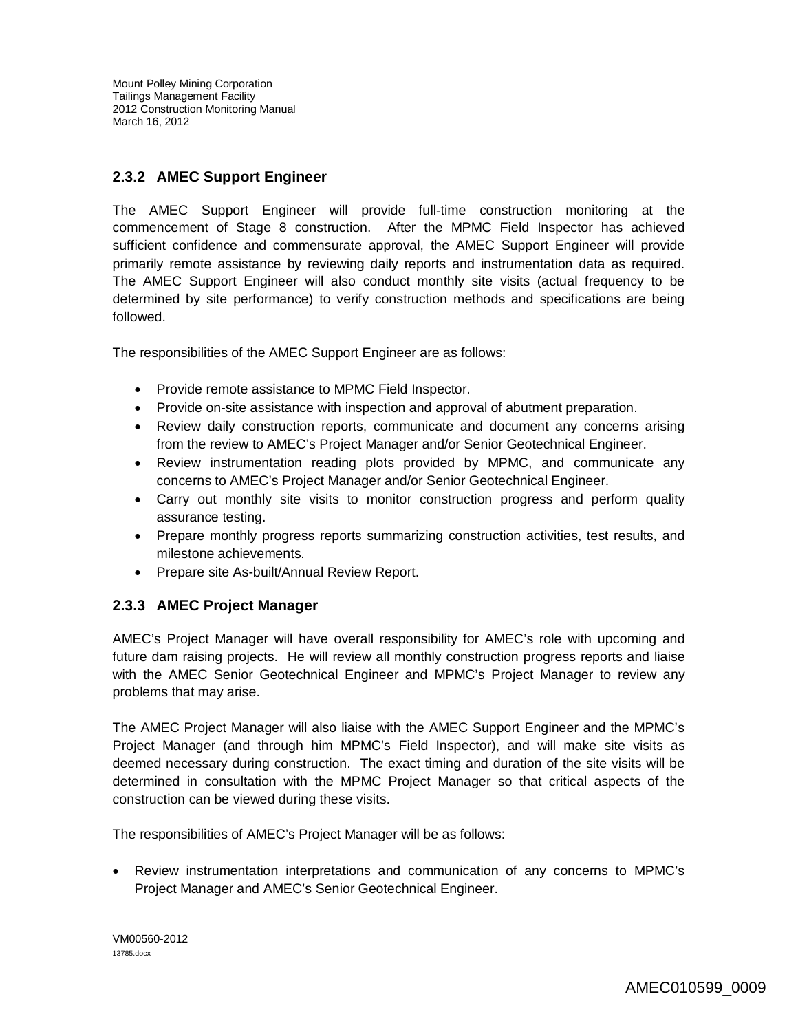## **2.3.2 AMEC Support Engineer**

The AMEC Support Engineer will provide full-time construction monitoring at the commencement of Stage 8 construction. After the MPMC Field Inspector has achieved sufficient confidence and commensurate approval, the AMEC Support Engineer will provide primarily remote assistance by reviewing daily reports and instrumentation data as required. The AMEC Support Engineer will also conduct monthly site visits (actual frequency to be determined by site performance) to verify construction methods and specifications are being followed.

The responsibilities of the AMEC Support Engineer are as follows:

- Provide remote assistance to MPMC Field Inspector.
- Provide on-site assistance with inspection and approval of abutment preparation.
- Review daily construction reports, communicate and document any concerns arising from the review to AMEC's Project Manager and/or Senior Geotechnical Engineer.
- Review instrumentation reading plots provided by MPMC, and communicate any concerns to AMEC's Project Manager and/or Senior Geotechnical Engineer.
- Carry out monthly site visits to monitor construction progress and perform quality assurance testing.
- Prepare monthly progress reports summarizing construction activities, test results, and milestone achievements.
- Prepare site As-built/Annual Review Report.

### **2.3.3 AMEC Project Manager**

AMEC's Project Manager will have overall responsibility for AMEC's role with upcoming and future dam raising projects. He will review all monthly construction progress reports and liaise with the AMEC Senior Geotechnical Engineer and MPMC's Project Manager to review any problems that may arise.

The AMEC Project Manager will also liaise with the AMEC Support Engineer and the MPMC's Project Manager (and through him MPMC's Field Inspector), and will make site visits as deemed necessary during construction. The exact timing and duration of the site visits will be determined in consultation with the MPMC Project Manager so that critical aspects of the construction can be viewed during these visits.

The responsibilities of AMEC's Project Manager will be as follows:

 Review instrumentation interpretations and communication of any concerns to MPMC's Project Manager and AMEC's Senior Geotechnical Engineer.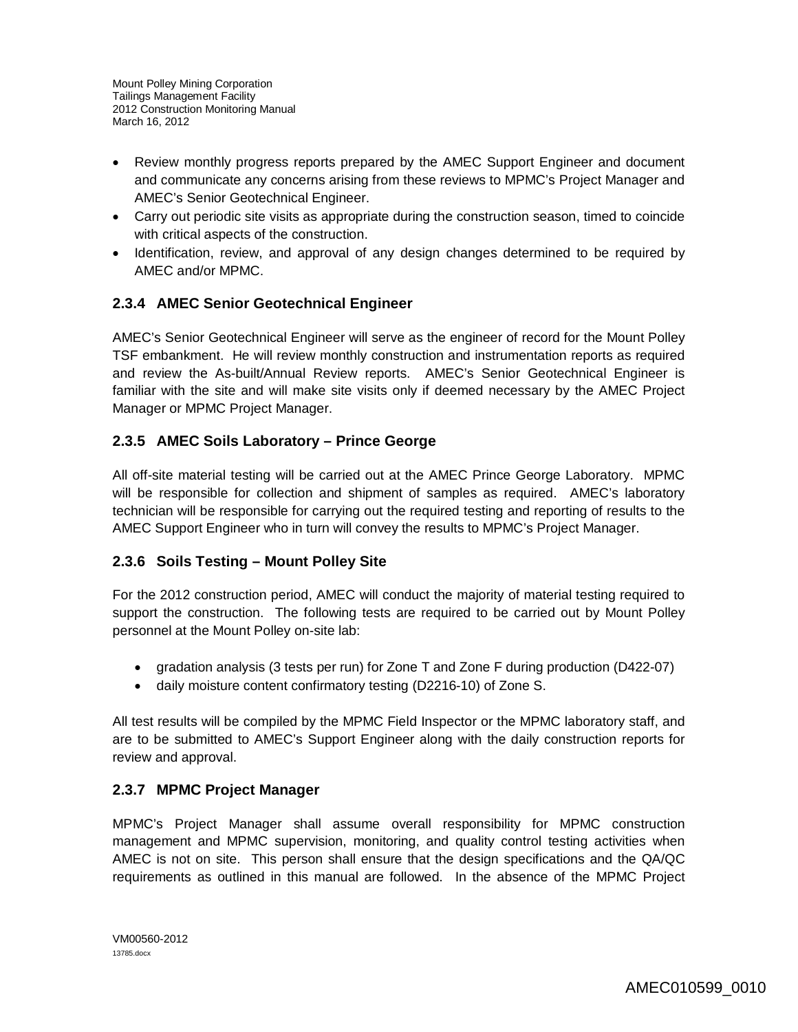- Review monthly progress reports prepared by the AMEC Support Engineer and document and communicate any concerns arising from these reviews to MPMC's Project Manager and AMEC's Senior Geotechnical Engineer.
- Carry out periodic site visits as appropriate during the construction season, timed to coincide with critical aspects of the construction.
- Identification, review, and approval of any design changes determined to be required by AMEC and/or MPMC.

## **2.3.4 AMEC Senior Geotechnical Engineer**

AMEC's Senior Geotechnical Engineer will serve as the engineer of record for the Mount Polley TSF embankment. He will review monthly construction and instrumentation reports as required and review the As-built/Annual Review reports. AMEC's Senior Geotechnical Engineer is familiar with the site and will make site visits only if deemed necessary by the AMEC Project Manager or MPMC Project Manager.

# **2.3.5 AMEC Soils Laboratory – Prince George**

All off-site material testing will be carried out at the AMEC Prince George Laboratory. MPMC will be responsible for collection and shipment of samples as required. AMEC's laboratory technician will be responsible for carrying out the required testing and reporting of results to the AMEC Support Engineer who in turn will convey the results to MPMC's Project Manager.

## **2.3.6 Soils Testing – Mount Polley Site**

For the 2012 construction period, AMEC will conduct the majority of material testing required to support the construction. The following tests are required to be carried out by Mount Polley personnel at the Mount Polley on-site lab:

- gradation analysis (3 tests per run) for Zone T and Zone F during production (D422-07)
- daily moisture content confirmatory testing (D2216-10) of Zone S.

All test results will be compiled by the MPMC Field Inspector or the MPMC laboratory staff, and are to be submitted to AMEC's Support Engineer along with the daily construction reports for review and approval.

# **2.3.7 MPMC Project Manager**

MPMC's Project Manager shall assume overall responsibility for MPMC construction management and MPMC supervision, monitoring, and quality control testing activities when AMEC is not on site. This person shall ensure that the design specifications and the QA/QC requirements as outlined in this manual are followed. In the absence of the MPMC Project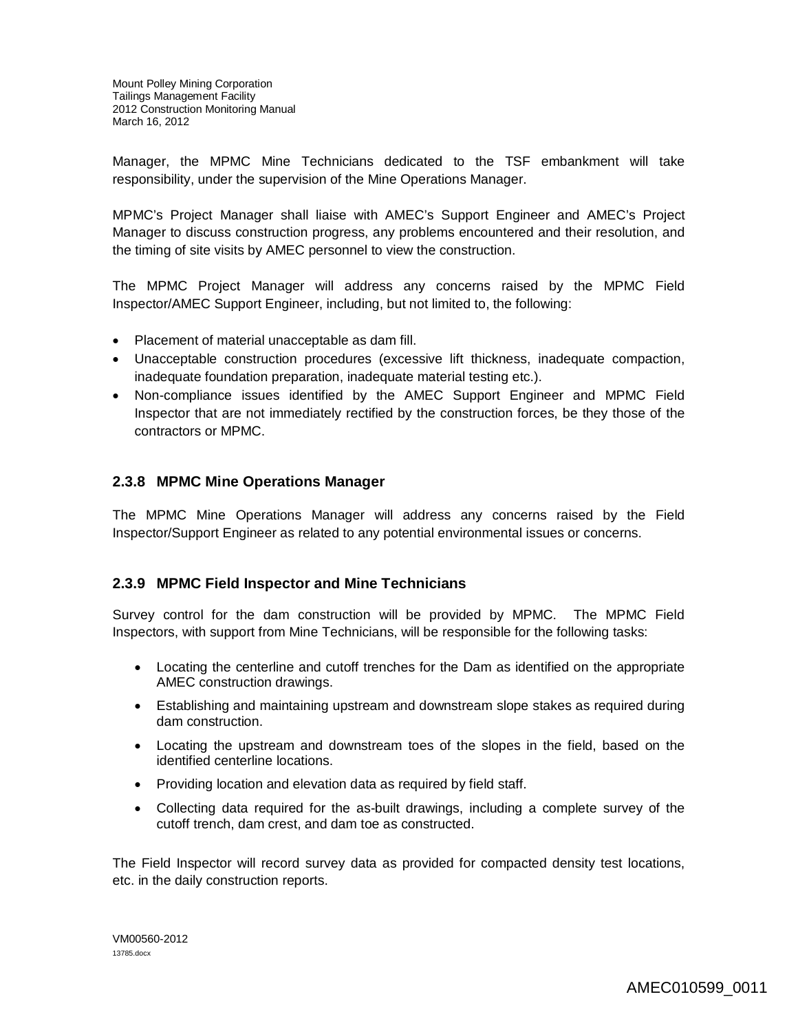Manager, the MPMC Mine Technicians dedicated to the TSF embankment will take responsibility, under the supervision of the Mine Operations Manager.

MPMC's Project Manager shall liaise with AMEC's Support Engineer and AMEC's Project Manager to discuss construction progress, any problems encountered and their resolution, and the timing of site visits by AMEC personnel to view the construction.

The MPMC Project Manager will address any concerns raised by the MPMC Field Inspector/AMEC Support Engineer, including, but not limited to, the following:

- Placement of material unacceptable as dam fill.
- Unacceptable construction procedures (excessive lift thickness, inadequate compaction, inadequate foundation preparation, inadequate material testing etc.).
- Non-compliance issues identified by the AMEC Support Engineer and MPMC Field Inspector that are not immediately rectified by the construction forces, be they those of the contractors or MPMC.

### **2.3.8 MPMC Mine Operations Manager**

The MPMC Mine Operations Manager will address any concerns raised by the Field Inspector/Support Engineer as related to any potential environmental issues or concerns.

### **2.3.9 MPMC Field Inspector and Mine Technicians**

Survey control for the dam construction will be provided by MPMC. The MPMC Field Inspectors, with support from Mine Technicians, will be responsible for the following tasks:

- Locating the centerline and cutoff trenches for the Dam as identified on the appropriate AMEC construction drawings.
- Establishing and maintaining upstream and downstream slope stakes as required during dam construction.
- Locating the upstream and downstream toes of the slopes in the field, based on the identified centerline locations.
- Providing location and elevation data as required by field staff.
- Collecting data required for the as-built drawings, including a complete survey of the cutoff trench, dam crest, and dam toe as constructed.

The Field Inspector will record survey data as provided for compacted density test locations, etc. in the daily construction reports.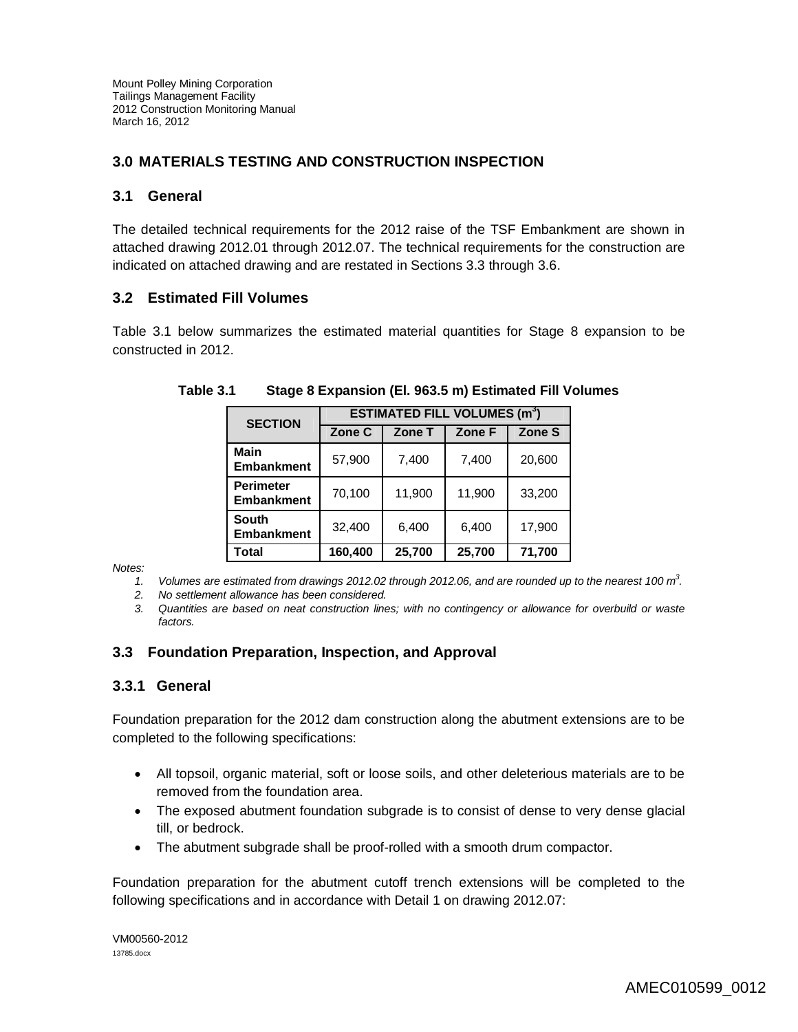## **3.0 MATERIALS TESTING AND CONSTRUCTION INSPECTION**

## **3.1 General**

The detailed technical requirements for the 2012 raise of the TSF Embankment are shown in attached drawing 2012.01 through 2012.07. The technical requirements for the construction are indicated on attached drawing and are restated in Sections 3.3 through 3.6.

## **3.2 Estimated Fill Volumes**

Table 3.1 below summarizes the estimated material quantities for Stage 8 expansion to be constructed in 2012.

| <b>SECTION</b>                        | <b>ESTIMATED FILL VOLUMES (m<sup>3</sup>)</b> |        |        |        |
|---------------------------------------|-----------------------------------------------|--------|--------|--------|
|                                       | Zone C                                        | Zone T | Zone F | Zone S |
| Main<br><b>Embankment</b>             | 57,900                                        | 7,400  | 7,400  | 20,600 |
| <b>Perimeter</b><br><b>Embankment</b> | 70,100                                        | 11,900 | 11,900 | 33,200 |
| <b>South</b><br><b>Embankment</b>     | 32,400                                        | 6,400  | 6,400  | 17,900 |
| Total                                 | 160,400                                       | 25,700 | 25,700 | 71,700 |

**Table 3.1 Stage 8 Expansion (El. 963.5 m) Estimated Fill Volumes**

*Notes:*

*1. Volumes are estimated from drawings 2012.02 through 2012.06, and are rounded up to the nearest 100 m<sup>3</sup> .* 

*2. No settlement allowance has been considered.*

*3. Quantities are based on neat construction lines; with no contingency or allowance for overbuild or waste factors.*

## **3.3 Foundation Preparation, Inspection, and Approval**

## **3.3.1 General**

Foundation preparation for the 2012 dam construction along the abutment extensions are to be completed to the following specifications:

- All topsoil, organic material, soft or loose soils, and other deleterious materials are to be removed from the foundation area.
- The exposed abutment foundation subgrade is to consist of dense to very dense glacial till, or bedrock.
- The abutment subgrade shall be proof-rolled with a smooth drum compactor.

Foundation preparation for the abutment cutoff trench extensions will be completed to the following specifications and in accordance with Detail 1 on drawing 2012.07: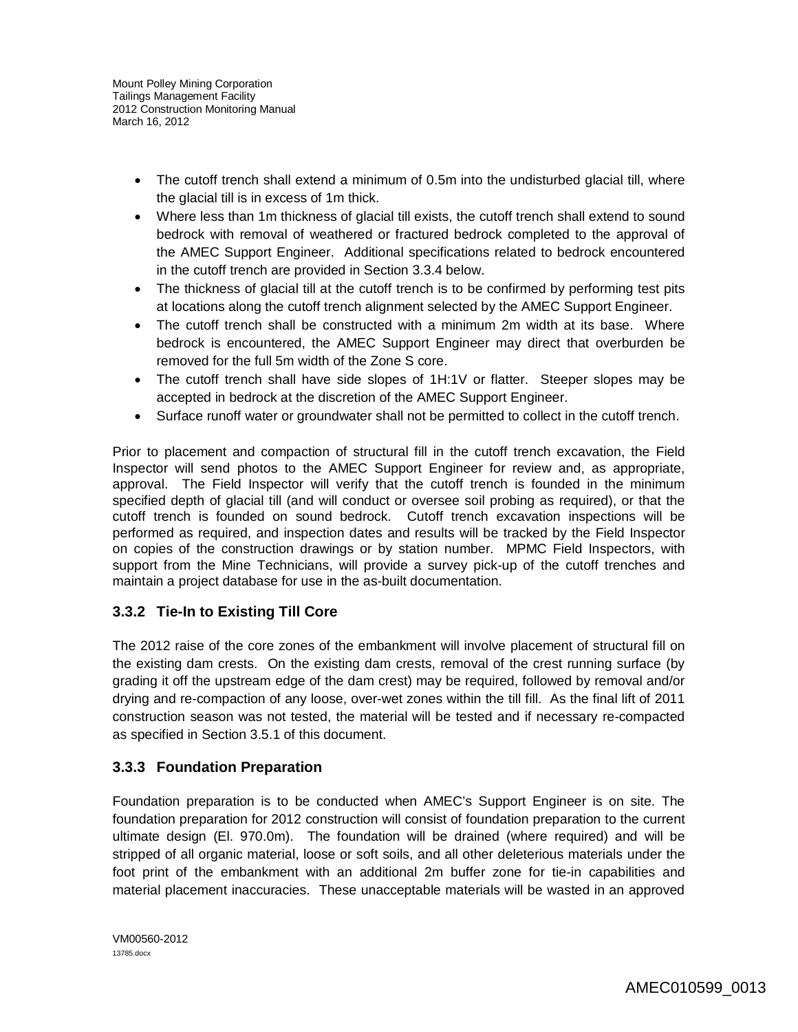- The cutoff trench shall extend a minimum of 0.5m into the undisturbed glacial till, where the glacial till is in excess of 1m thick.
- Where less than 1m thickness of glacial till exists, the cutoff trench shall extend to sound bedrock with removal of weathered or fractured bedrock completed to the approval of the AMEC Support Engineer. Additional specifications related to bedrock encountered in the cutoff trench are provided in Section 3.3.4 below.
- The thickness of glacial till at the cutoff trench is to be confirmed by performing test pits at locations along the cutoff trench alignment selected by the AMEC Support Engineer.
- The cutoff trench shall be constructed with a minimum 2m width at its base. Where bedrock is encountered, the AMEC Support Engineer may direct that overburden be removed for the full 5m width of the Zone S core.
- The cutoff trench shall have side slopes of 1H:1V or flatter. Steeper slopes may be accepted in bedrock at the discretion of the AMEC Support Engineer.
- Surface runoff water or groundwater shall not be permitted to collect in the cutoff trench.

Prior to placement and compaction of structural fill in the cutoff trench excavation, the Field Inspector will send photos to the AMEC Support Engineer for review and, as appropriate, approval. The Field Inspector will verify that the cutoff trench is founded in the minimum specified depth of glacial till (and will conduct or oversee soil probing as required), or that the cutoff trench is founded on sound bedrock. Cutoff trench excavation inspections will be performed as required, and inspection dates and results will be tracked by the Field Inspector on copies of the construction drawings or by station number. MPMC Field Inspectors, with support from the Mine Technicians, will provide a survey pick-up of the cutoff trenches and maintain a project database for use in the as-built documentation.

# **3.3.2 Tie-In to Existing Till Core**

The 2012 raise of the core zones of the embankment will involve placement of structural fill on the existing dam crests. On the existing dam crests, removal of the crest running surface (by grading it off the upstream edge of the dam crest) may be required, followed by removal and/or drying and re-compaction of any loose, over-wet zones within the till fill. As the final lift of 2011 construction season was not tested, the material will be tested and if necessary re-compacted as specified in Section 3.5.1 of this document.

# **3.3.3 Foundation Preparation**

Foundation preparation is to be conducted when AMEC's Support Engineer is on site. The foundation preparation for 2012 construction will consist of foundation preparation to the current ultimate design (El. 970.0m). The foundation will be drained (where required) and will be stripped of all organic material, loose or soft soils, and all other deleterious materials under the foot print of the embankment with an additional 2m buffer zone for tie-in capabilities and material placement inaccuracies. These unacceptable materials will be wasted in an approved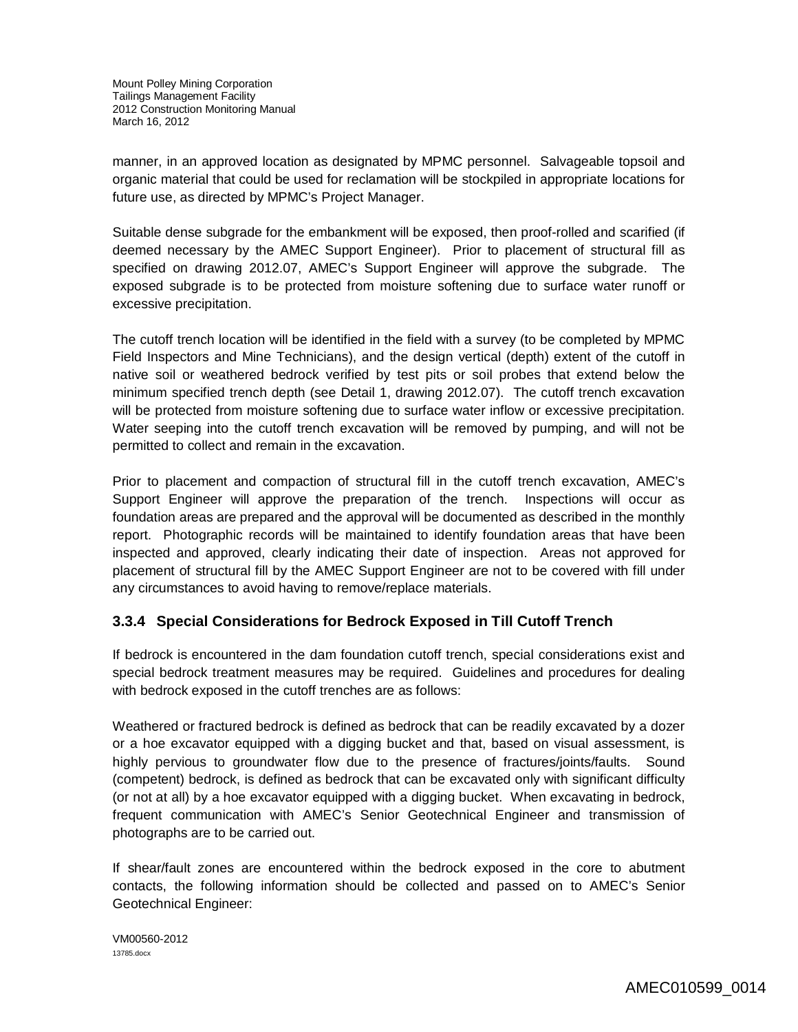manner, in an approved location as designated by MPMC personnel. Salvageable topsoil and organic material that could be used for reclamation will be stockpiled in appropriate locations for future use, as directed by MPMC's Project Manager.

Suitable dense subgrade for the embankment will be exposed, then proof-rolled and scarified (if deemed necessary by the AMEC Support Engineer). Prior to placement of structural fill as specified on drawing 2012.07, AMEC's Support Engineer will approve the subgrade. The exposed subgrade is to be protected from moisture softening due to surface water runoff or excessive precipitation.

The cutoff trench location will be identified in the field with a survey (to be completed by MPMC Field Inspectors and Mine Technicians), and the design vertical (depth) extent of the cutoff in native soil or weathered bedrock verified by test pits or soil probes that extend below the minimum specified trench depth (see Detail 1, drawing 2012.07). The cutoff trench excavation will be protected from moisture softening due to surface water inflow or excessive precipitation. Water seeping into the cutoff trench excavation will be removed by pumping, and will not be permitted to collect and remain in the excavation.

Prior to placement and compaction of structural fill in the cutoff trench excavation, AMEC's Support Engineer will approve the preparation of the trench. Inspections will occur as foundation areas are prepared and the approval will be documented as described in the monthly report. Photographic records will be maintained to identify foundation areas that have been inspected and approved, clearly indicating their date of inspection. Areas not approved for placement of structural fill by the AMEC Support Engineer are not to be covered with fill under any circumstances to avoid having to remove/replace materials.

## **3.3.4 Special Considerations for Bedrock Exposed in Till Cutoff Trench**

If bedrock is encountered in the dam foundation cutoff trench, special considerations exist and special bedrock treatment measures may be required. Guidelines and procedures for dealing with bedrock exposed in the cutoff trenches are as follows:

Weathered or fractured bedrock is defined as bedrock that can be readily excavated by a dozer or a hoe excavator equipped with a digging bucket and that, based on visual assessment, is highly pervious to groundwater flow due to the presence of fractures/joints/faults. Sound (competent) bedrock, is defined as bedrock that can be excavated only with significant difficulty (or not at all) by a hoe excavator equipped with a digging bucket. When excavating in bedrock, frequent communication with AMEC's Senior Geotechnical Engineer and transmission of photographs are to be carried out.

If shear/fault zones are encountered within the bedrock exposed in the core to abutment contacts, the following information should be collected and passed on to AMEC's Senior Geotechnical Engineer:

VM00560-2012 13785.docx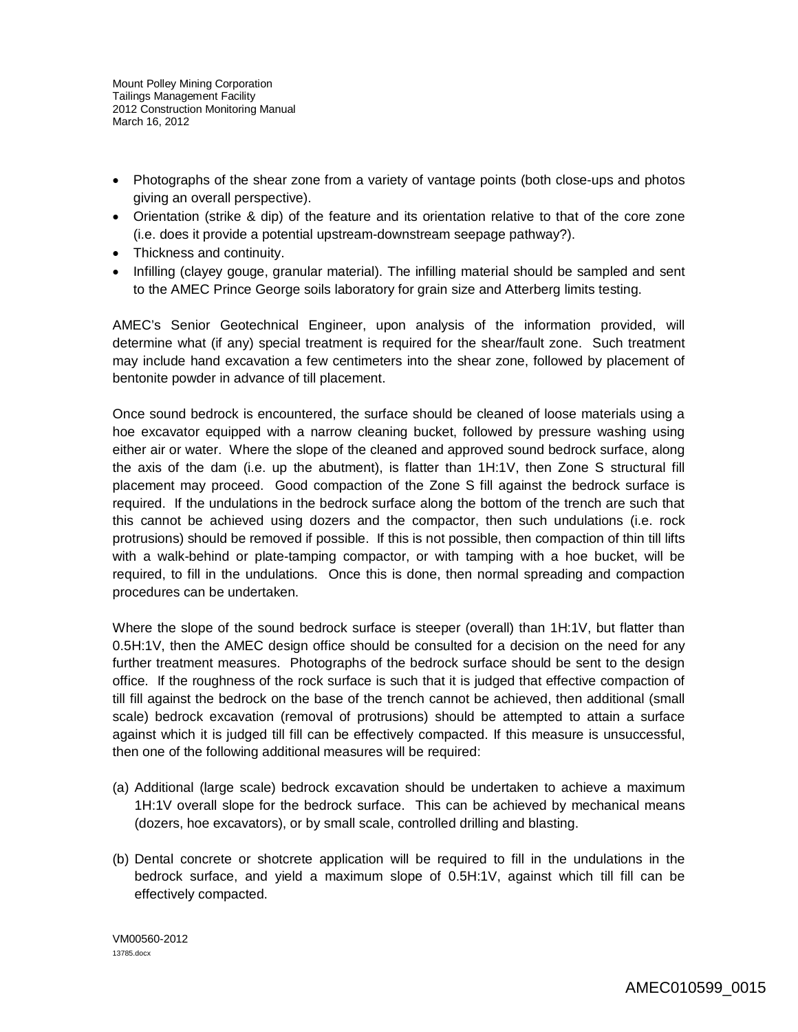- Photographs of the shear zone from a variety of vantage points (both close-ups and photos giving an overall perspective).
- Orientation (strike & dip) of the feature and its orientation relative to that of the core zone (i.e. does it provide a potential upstream-downstream seepage pathway?).
- Thickness and continuity.
- Infilling (clayey gouge, granular material). The infilling material should be sampled and sent to the AMEC Prince George soils laboratory for grain size and Atterberg limits testing.

AMEC's Senior Geotechnical Engineer, upon analysis of the information provided, will determine what (if any) special treatment is required for the shear/fault zone. Such treatment may include hand excavation a few centimeters into the shear zone, followed by placement of bentonite powder in advance of till placement.

Once sound bedrock is encountered, the surface should be cleaned of loose materials using a hoe excavator equipped with a narrow cleaning bucket, followed by pressure washing using either air or water. Where the slope of the cleaned and approved sound bedrock surface, along the axis of the dam (i.e. up the abutment), is flatter than 1H:1V, then Zone S structural fill placement may proceed. Good compaction of the Zone S fill against the bedrock surface is required. If the undulations in the bedrock surface along the bottom of the trench are such that this cannot be achieved using dozers and the compactor, then such undulations (i.e. rock protrusions) should be removed if possible. If this is not possible, then compaction of thin till lifts with a walk-behind or plate-tamping compactor, or with tamping with a hoe bucket, will be required, to fill in the undulations. Once this is done, then normal spreading and compaction procedures can be undertaken.

Where the slope of the sound bedrock surface is steeper (overall) than 1H:1V, but flatter than 0.5H:1V, then the AMEC design office should be consulted for a decision on the need for any further treatment measures. Photographs of the bedrock surface should be sent to the design office. If the roughness of the rock surface is such that it is judged that effective compaction of till fill against the bedrock on the base of the trench cannot be achieved, then additional (small scale) bedrock excavation (removal of protrusions) should be attempted to attain a surface against which it is judged till fill can be effectively compacted. If this measure is unsuccessful, then one of the following additional measures will be required:

- (a) Additional (large scale) bedrock excavation should be undertaken to achieve a maximum 1H:1V overall slope for the bedrock surface. This can be achieved by mechanical means (dozers, hoe excavators), or by small scale, controlled drilling and blasting.
- (b) Dental concrete or shotcrete application will be required to fill in the undulations in the bedrock surface, and yield a maximum slope of 0.5H:1V, against which till fill can be effectively compacted.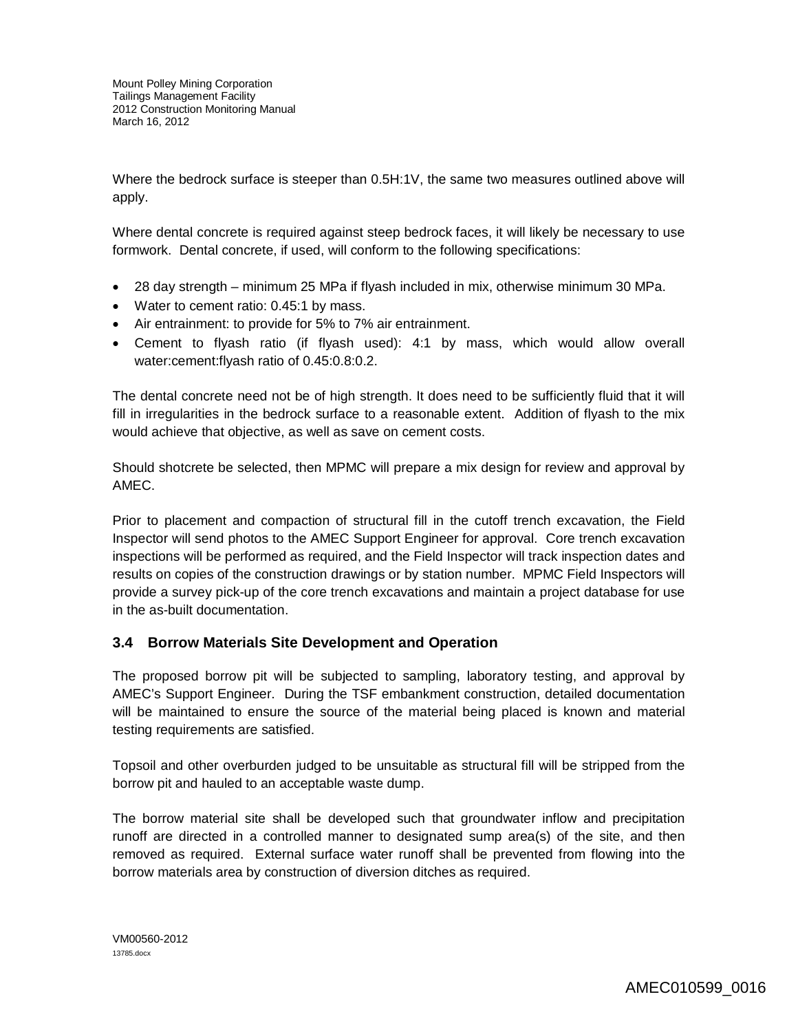Where the bedrock surface is steeper than 0.5H:1V, the same two measures outlined above will apply.

Where dental concrete is required against steep bedrock faces, it will likely be necessary to use formwork. Dental concrete, if used, will conform to the following specifications:

- 28 day strength minimum 25 MPa if flyash included in mix, otherwise minimum 30 MPa.
- Water to cement ratio: 0.45:1 by mass.
- Air entrainment: to provide for 5% to 7% air entrainment.
- Cement to flyash ratio (if flyash used): 4:1 by mass, which would allow overall water:cement:flyash ratio of 0.45:0.8:0.2.

The dental concrete need not be of high strength. It does need to be sufficiently fluid that it will fill in irregularities in the bedrock surface to a reasonable extent. Addition of flyash to the mix would achieve that objective, as well as save on cement costs.

Should shotcrete be selected, then MPMC will prepare a mix design for review and approval by AMEC.

Prior to placement and compaction of structural fill in the cutoff trench excavation, the Field Inspector will send photos to the AMEC Support Engineer for approval. Core trench excavation inspections will be performed as required, and the Field Inspector will track inspection dates and results on copies of the construction drawings or by station number. MPMC Field Inspectors will provide a survey pick-up of the core trench excavations and maintain a project database for use in the as-built documentation.

## **3.4 Borrow Materials Site Development and Operation**

The proposed borrow pit will be subjected to sampling, laboratory testing, and approval by AMEC's Support Engineer. During the TSF embankment construction, detailed documentation will be maintained to ensure the source of the material being placed is known and material testing requirements are satisfied.

Topsoil and other overburden judged to be unsuitable as structural fill will be stripped from the borrow pit and hauled to an acceptable waste dump.

The borrow material site shall be developed such that groundwater inflow and precipitation runoff are directed in a controlled manner to designated sump area(s) of the site, and then removed as required. External surface water runoff shall be prevented from flowing into the borrow materials area by construction of diversion ditches as required.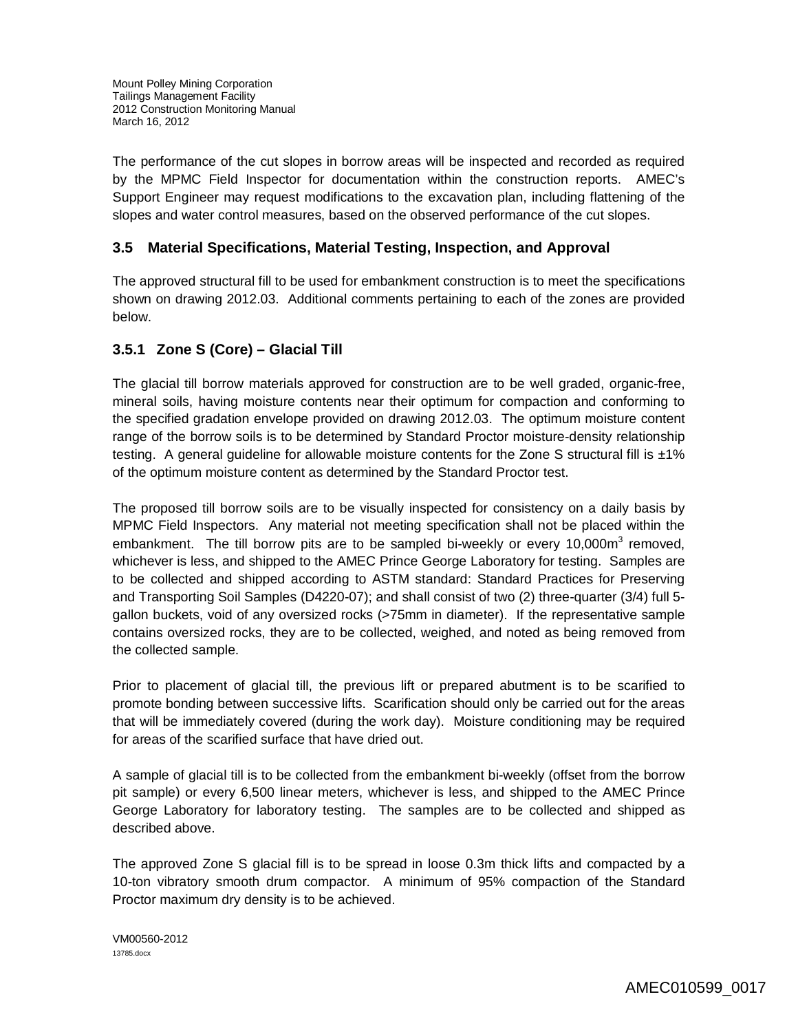The performance of the cut slopes in borrow areas will be inspected and recorded as required by the MPMC Field Inspector for documentation within the construction reports. AMEC's Support Engineer may request modifications to the excavation plan, including flattening of the slopes and water control measures, based on the observed performance of the cut slopes.

## **3.5 Material Specifications, Material Testing, Inspection, and Approval**

The approved structural fill to be used for embankment construction is to meet the specifications shown on drawing 2012.03. Additional comments pertaining to each of the zones are provided below.

## **3.5.1 Zone S (Core) – Glacial Till**

The glacial till borrow materials approved for construction are to be well graded, organic-free, mineral soils, having moisture contents near their optimum for compaction and conforming to the specified gradation envelope provided on drawing 2012.03. The optimum moisture content range of the borrow soils is to be determined by Standard Proctor moisture-density relationship testing. A general guideline for allowable moisture contents for the Zone S structural fill is  $\pm 1\%$ of the optimum moisture content as determined by the Standard Proctor test.

The proposed till borrow soils are to be visually inspected for consistency on a daily basis by MPMC Field Inspectors. Any material not meeting specification shall not be placed within the embankment. The till borrow pits are to be sampled bi-weekly or every 10,000 $m^3$  removed, whichever is less, and shipped to the AMEC Prince George Laboratory for testing. Samples are to be collected and shipped according to ASTM standard: Standard Practices for Preserving and Transporting Soil Samples (D4220-07); and shall consist of two (2) three-quarter (3/4) full 5 gallon buckets, void of any oversized rocks (>75mm in diameter). If the representative sample contains oversized rocks, they are to be collected, weighed, and noted as being removed from the collected sample.

Prior to placement of glacial till, the previous lift or prepared abutment is to be scarified to promote bonding between successive lifts. Scarification should only be carried out for the areas that will be immediately covered (during the work day). Moisture conditioning may be required for areas of the scarified surface that have dried out.

A sample of glacial till is to be collected from the embankment bi-weekly (offset from the borrow pit sample) or every 6,500 linear meters, whichever is less, and shipped to the AMEC Prince George Laboratory for laboratory testing. The samples are to be collected and shipped as described above.

The approved Zone S glacial fill is to be spread in loose 0.3m thick lifts and compacted by a 10-ton vibratory smooth drum compactor. A minimum of 95% compaction of the Standard Proctor maximum dry density is to be achieved.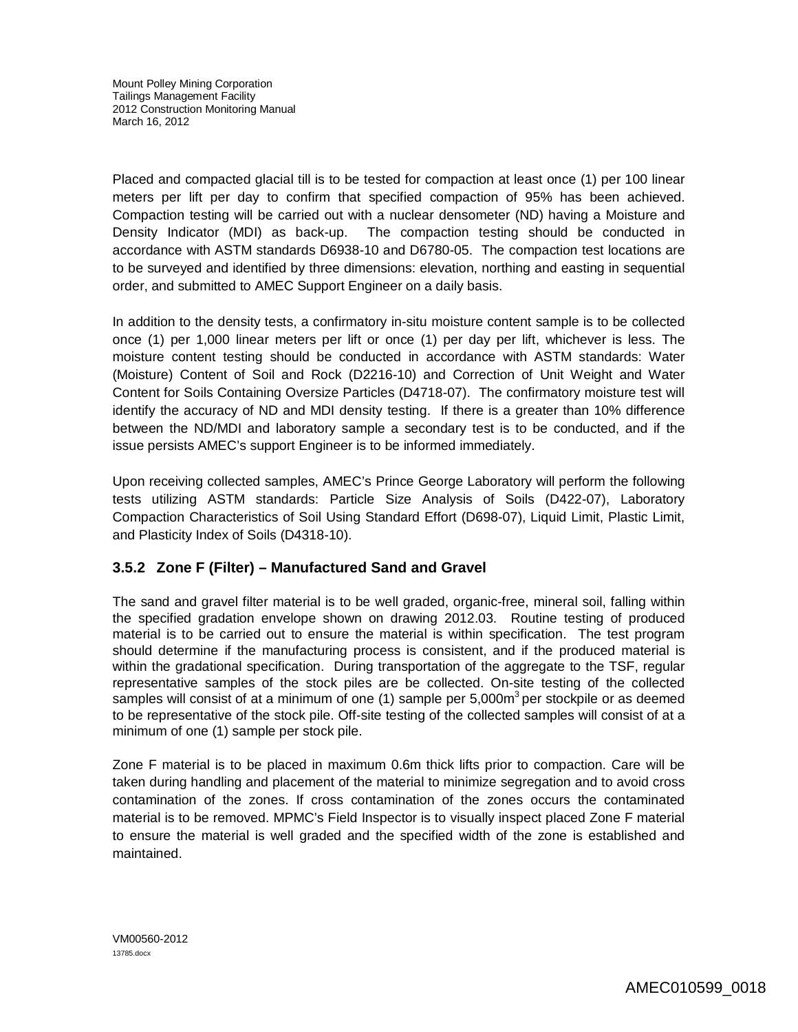Placed and compacted glacial till is to be tested for compaction at least once (1) per 100 linear meters per lift per day to confirm that specified compaction of 95% has been achieved. Compaction testing will be carried out with a nuclear densometer (ND) having a Moisture and Density Indicator (MDI) as back-up. The compaction testing should be conducted in accordance with ASTM standards D6938-10 and D6780-05. The compaction test locations are to be surveyed and identified by three dimensions: elevation, northing and easting in sequential order, and submitted to AMEC Support Engineer on a daily basis.

In addition to the density tests, a confirmatory in-situ moisture content sample is to be collected once (1) per 1,000 linear meters per lift or once (1) per day per lift, whichever is less. The moisture content testing should be conducted in accordance with ASTM standards: Water (Moisture) Content of Soil and Rock (D2216-10) and Correction of Unit Weight and Water Content for Soils Containing Oversize Particles (D4718-07). The confirmatory moisture test will identify the accuracy of ND and MDI density testing. If there is a greater than 10% difference between the ND/MDI and laboratory sample a secondary test is to be conducted, and if the issue persists AMEC's support Engineer is to be informed immediately.

Upon receiving collected samples, AMEC's Prince George Laboratory will perform the following tests utilizing ASTM standards: Particle Size Analysis of Soils (D422-07), Laboratory Compaction Characteristics of Soil Using Standard Effort (D698-07), Liquid Limit, Plastic Limit, and Plasticity Index of Soils (D4318-10).

## **3.5.2 Zone F (Filter) – Manufactured Sand and Gravel**

The sand and gravel filter material is to be well graded, organic-free, mineral soil, falling within the specified gradation envelope shown on drawing 2012.03. Routine testing of produced material is to be carried out to ensure the material is within specification. The test program should determine if the manufacturing process is consistent, and if the produced material is within the gradational specification. During transportation of the aggregate to the TSF, regular representative samples of the stock piles are be collected. On-site testing of the collected samples will consist of at a minimum of one (1) sample per 5,000m<sup>3</sup> per stockpile or as deemed to be representative of the stock pile. Off-site testing of the collected samples will consist of at a minimum of one (1) sample per stock pile.

Zone F material is to be placed in maximum 0.6m thick lifts prior to compaction. Care will be taken during handling and placement of the material to minimize segregation and to avoid cross contamination of the zones. If cross contamination of the zones occurs the contaminated material is to be removed. MPMC's Field Inspector is to visually inspect placed Zone F material to ensure the material is well graded and the specified width of the zone is established and maintained.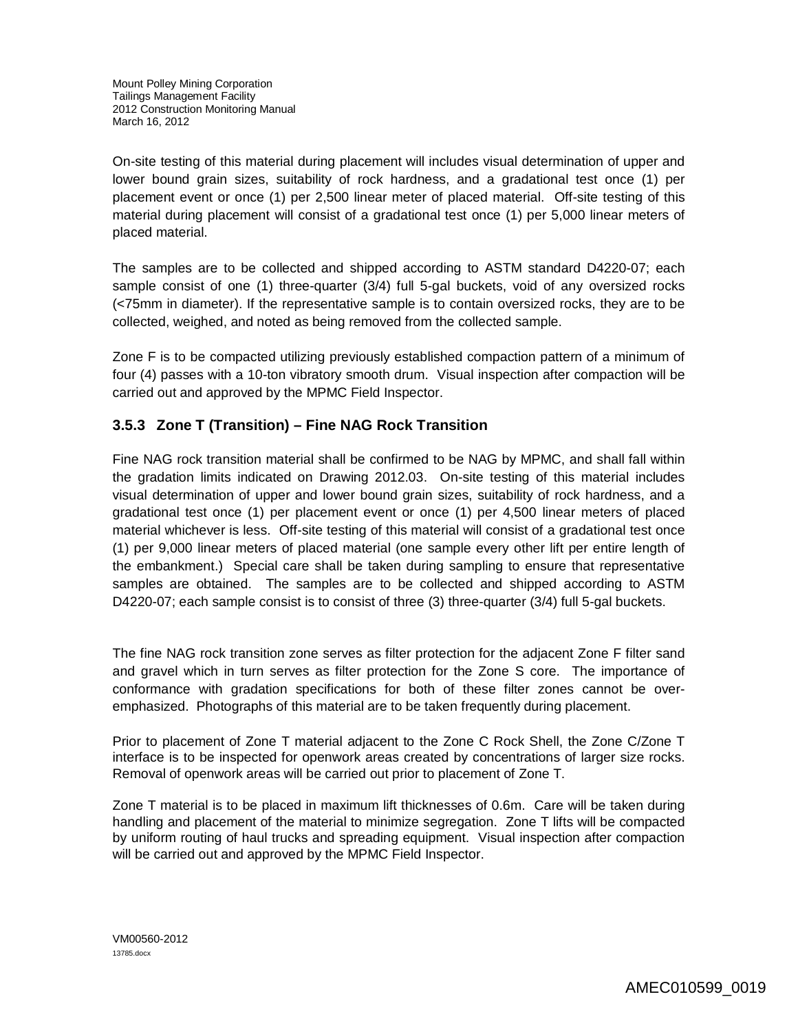On-site testing of this material during placement will includes visual determination of upper and lower bound grain sizes, suitability of rock hardness, and a gradational test once (1) per placement event or once (1) per 2,500 linear meter of placed material. Off-site testing of this material during placement will consist of a gradational test once (1) per 5,000 linear meters of placed material.

The samples are to be collected and shipped according to ASTM standard D4220-07; each sample consist of one (1) three-quarter (3/4) full 5-gal buckets, void of any oversized rocks (<75mm in diameter). If the representative sample is to contain oversized rocks, they are to be collected, weighed, and noted as being removed from the collected sample.

Zone F is to be compacted utilizing previously established compaction pattern of a minimum of four (4) passes with a 10-ton vibratory smooth drum. Visual inspection after compaction will be carried out and approved by the MPMC Field Inspector.

## **3.5.3 Zone T (Transition) – Fine NAG Rock Transition**

Fine NAG rock transition material shall be confirmed to be NAG by MPMC, and shall fall within the gradation limits indicated on Drawing 2012.03. On-site testing of this material includes visual determination of upper and lower bound grain sizes, suitability of rock hardness, and a gradational test once (1) per placement event or once (1) per 4,500 linear meters of placed material whichever is less. Off-site testing of this material will consist of a gradational test once (1) per 9,000 linear meters of placed material (one sample every other lift per entire length of the embankment.) Special care shall be taken during sampling to ensure that representative samples are obtained. The samples are to be collected and shipped according to ASTM D4220-07; each sample consist is to consist of three (3) three-quarter (3/4) full 5-gal buckets.

The fine NAG rock transition zone serves as filter protection for the adjacent Zone F filter sand and gravel which in turn serves as filter protection for the Zone S core. The importance of conformance with gradation specifications for both of these filter zones cannot be overemphasized. Photographs of this material are to be taken frequently during placement.

Prior to placement of Zone T material adjacent to the Zone C Rock Shell, the Zone C/Zone T interface is to be inspected for openwork areas created by concentrations of larger size rocks. Removal of openwork areas will be carried out prior to placement of Zone T.

Zone T material is to be placed in maximum lift thicknesses of 0.6m. Care will be taken during handling and placement of the material to minimize segregation. Zone T lifts will be compacted by uniform routing of haul trucks and spreading equipment. Visual inspection after compaction will be carried out and approved by the MPMC Field Inspector.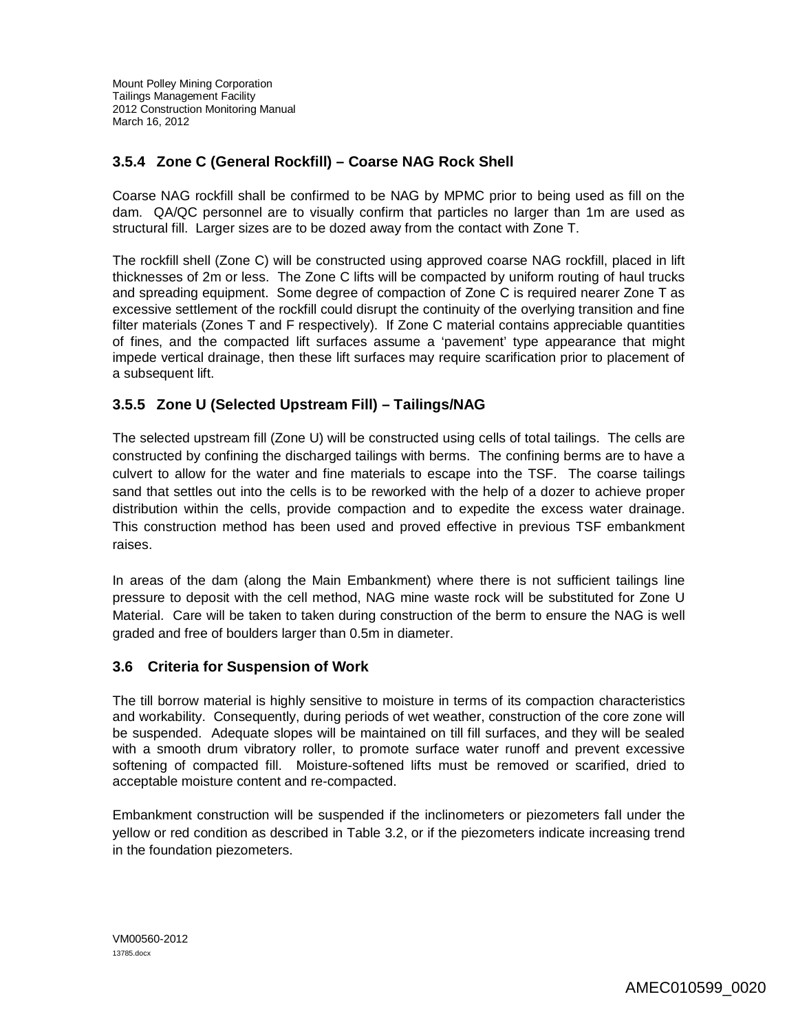## **3.5.4 Zone C (General Rockfill) – Coarse NAG Rock Shell**

Coarse NAG rockfill shall be confirmed to be NAG by MPMC prior to being used as fill on the dam. QA/QC personnel are to visually confirm that particles no larger than 1m are used as structural fill. Larger sizes are to be dozed away from the contact with Zone T.

The rockfill shell (Zone C) will be constructed using approved coarse NAG rockfill, placed in lift thicknesses of 2m or less. The Zone C lifts will be compacted by uniform routing of haul trucks and spreading equipment. Some degree of compaction of Zone C is required nearer Zone T as excessive settlement of the rockfill could disrupt the continuity of the overlying transition and fine filter materials (Zones T and F respectively). If Zone C material contains appreciable quantities of fines, and the compacted lift surfaces assume a 'pavement' type appearance that might impede vertical drainage, then these lift surfaces may require scarification prior to placement of a subsequent lift.

## **3.5.5 Zone U (Selected Upstream Fill) – Tailings/NAG**

The selected upstream fill (Zone U) will be constructed using cells of total tailings. The cells are constructed by confining the discharged tailings with berms. The confining berms are to have a culvert to allow for the water and fine materials to escape into the TSF. The coarse tailings sand that settles out into the cells is to be reworked with the help of a dozer to achieve proper distribution within the cells, provide compaction and to expedite the excess water drainage. This construction method has been used and proved effective in previous TSF embankment raises.

In areas of the dam (along the Main Embankment) where there is not sufficient tailings line pressure to deposit with the cell method, NAG mine waste rock will be substituted for Zone U Material. Care will be taken to taken during construction of the berm to ensure the NAG is well graded and free of boulders larger than 0.5m in diameter.

### **3.6 Criteria for Suspension of Work**

The till borrow material is highly sensitive to moisture in terms of its compaction characteristics and workability. Consequently, during periods of wet weather, construction of the core zone will be suspended. Adequate slopes will be maintained on till fill surfaces, and they will be sealed with a smooth drum vibratory roller, to promote surface water runoff and prevent excessive softening of compacted fill. Moisture-softened lifts must be removed or scarified, dried to acceptable moisture content and re-compacted.

Embankment construction will be suspended if the inclinometers or piezometers fall under the yellow or red condition as described in Table 3.2, or if the piezometers indicate increasing trend in the foundation piezometers.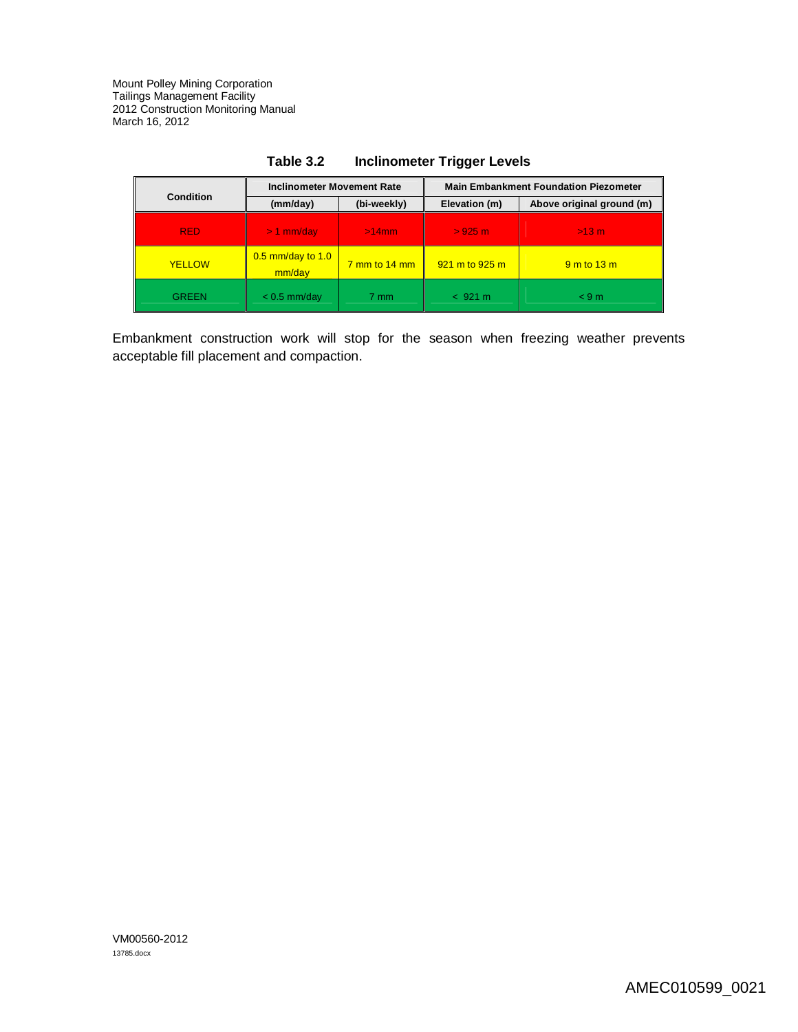|               | <b>Inclinometer Movement Rate</b> |                                      | <b>Main Embankment Foundation Piezometer</b> |                           |
|---------------|-----------------------------------|--------------------------------------|----------------------------------------------|---------------------------|
| Condition     | (mm/day)                          | (bi-weekly)                          | Elevation (m)                                | Above original ground (m) |
| <b>RED</b>    | $> 1$ mm/day                      | $>14$ mm                             | $>925$ m.                                    | $>13$ m                   |
| <b>YELLOW</b> | $0.5$ mm/day to 1.0<br>mm/day     | $\frac{7 \text{ mm}}{14 \text{ mm}}$ | $921 \text{ m}$ to 925 m                     | $9m$ to $13m$             |
| <b>GREEN</b>  | $< 0.5$ mm/day                    | 7 mm                                 | < 921 m                                      | < 9m                      |

| Table 3.2 | <b>Inclinometer Trigger Levels</b> |
|-----------|------------------------------------|
|-----------|------------------------------------|

Embankment construction work will stop for the season when freezing weather prevents acceptable fill placement and compaction.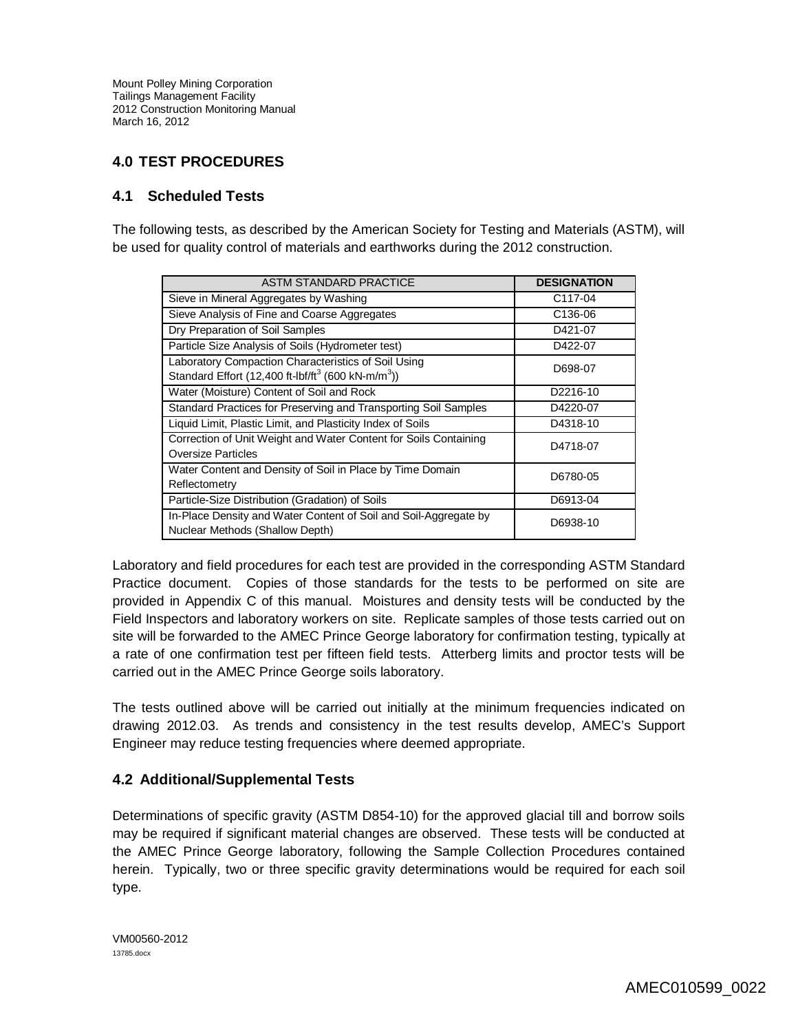## **4.0 TEST PROCEDURES**

## **4.1 Scheduled Tests**

The following tests, as described by the American Society for Testing and Materials (ASTM), will be used for quality control of materials and earthworks during the 2012 construction.

| <b>ASTM STANDARD PRACTICE</b>                                                                                                     | <b>DESIGNATION</b>   |
|-----------------------------------------------------------------------------------------------------------------------------------|----------------------|
| Sieve in Mineral Aggregates by Washing                                                                                            | C <sub>117</sub> -04 |
| Sieve Analysis of Fine and Coarse Aggregates                                                                                      | C <sub>136</sub> -06 |
| Dry Preparation of Soil Samples                                                                                                   | D421-07              |
| Particle Size Analysis of Soils (Hydrometer test)                                                                                 | D422-07              |
| Laboratory Compaction Characteristics of Soil Using<br>Standard Effort (12,400 ft-lbf/ft <sup>3</sup> (600 kN-m/m <sup>3</sup> )) | D698-07              |
| Water (Moisture) Content of Soil and Rock                                                                                         | D2216-10             |
| Standard Practices for Preserving and Transporting Soil Samples                                                                   | D4220-07             |
| Liquid Limit, Plastic Limit, and Plasticity Index of Soils                                                                        | D4318-10             |
| Correction of Unit Weight and Water Content for Soils Containing<br><b>Oversize Particles</b>                                     | D4718-07             |
| Water Content and Density of Soil in Place by Time Domain<br>Reflectometry                                                        | D6780-05             |
| Particle-Size Distribution (Gradation) of Soils                                                                                   | D6913-04             |
| In-Place Density and Water Content of Soil and Soil-Aggregate by<br>Nuclear Methods (Shallow Depth)                               | D6938-10             |

Laboratory and field procedures for each test are provided in the corresponding ASTM Standard Practice document. Copies of those standards for the tests to be performed on site are provided in Appendix C of this manual. Moistures and density tests will be conducted by the Field Inspectors and laboratory workers on site. Replicate samples of those tests carried out on site will be forwarded to the AMEC Prince George laboratory for confirmation testing, typically at a rate of one confirmation test per fifteen field tests. Atterberg limits and proctor tests will be carried out in the AMEC Prince George soils laboratory.

The tests outlined above will be carried out initially at the minimum frequencies indicated on drawing 2012.03. As trends and consistency in the test results develop, AMEC's Support Engineer may reduce testing frequencies where deemed appropriate.

## **4.2 Additional/Supplemental Tests**

Determinations of specific gravity (ASTM D854-10) for the approved glacial till and borrow soils may be required if significant material changes are observed. These tests will be conducted at the AMEC Prince George laboratory, following the Sample Collection Procedures contained herein. Typically, two or three specific gravity determinations would be required for each soil type.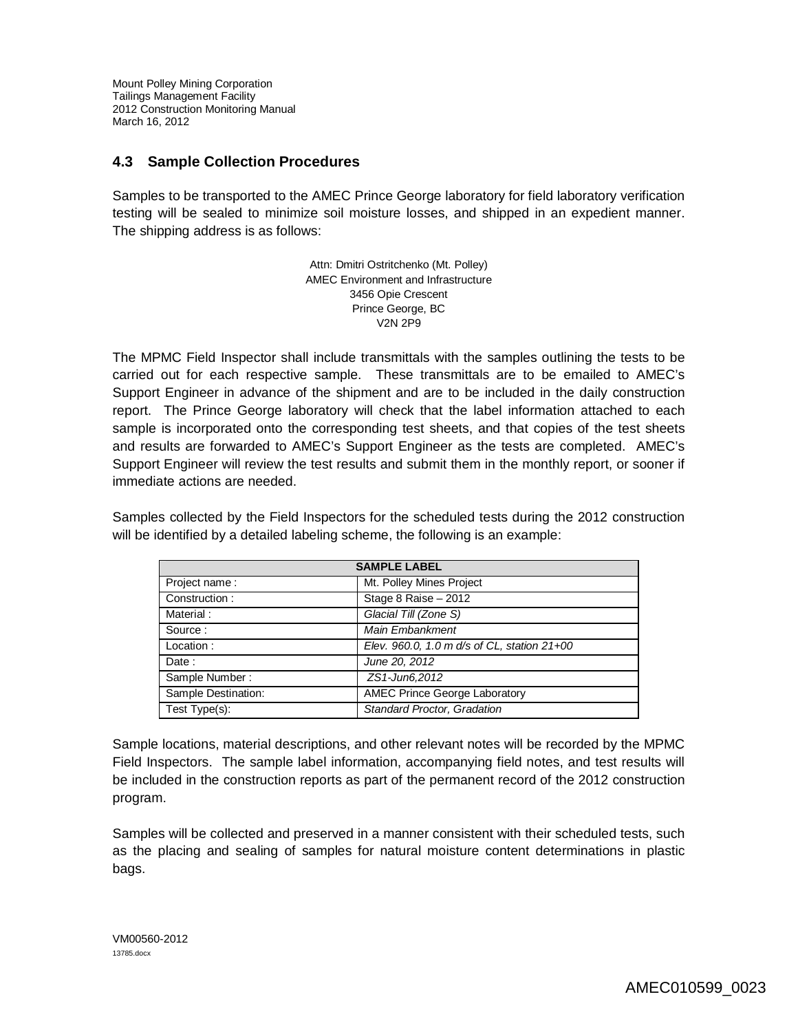## **4.3 Sample Collection Procedures**

Samples to be transported to the AMEC Prince George laboratory for field laboratory verification testing will be sealed to minimize soil moisture losses, and shipped in an expedient manner. The shipping address is as follows:

> Attn: Dmitri Ostritchenko (Mt. Polley) AMEC Environment and Infrastructure 3456 Opie Crescent Prince George, BC V2N 2P9

The MPMC Field Inspector shall include transmittals with the samples outlining the tests to be carried out for each respective sample. These transmittals are to be emailed to AMEC's Support Engineer in advance of the shipment and are to be included in the daily construction report. The Prince George laboratory will check that the label information attached to each sample is incorporated onto the corresponding test sheets, and that copies of the test sheets and results are forwarded to AMEC's Support Engineer as the tests are completed. AMEC's Support Engineer will review the test results and submit them in the monthly report, or sooner if immediate actions are needed.

Samples collected by the Field Inspectors for the scheduled tests during the 2012 construction will be identified by a detailed labeling scheme, the following is an example:

| <b>SAMPLE LABEL</b> |                                             |  |
|---------------------|---------------------------------------------|--|
| Project name:       | Mt. Polley Mines Project                    |  |
| Construction:       | Stage 8 Raise - 2012                        |  |
| Material:           | Glacial Till (Zone S)                       |  |
| Source:             | Main Embankment                             |  |
| Location:           | Elev. 960.0, 1.0 m d/s of CL, station 21+00 |  |
| Date:               | June 20, 2012                               |  |
| Sample Number:      | ZS1-Jun6,2012                               |  |
| Sample Destination: | <b>AMEC Prince George Laboratory</b>        |  |
| Test Type(s):       | <b>Standard Proctor, Gradation</b>          |  |

Sample locations, material descriptions, and other relevant notes will be recorded by the MPMC Field Inspectors. The sample label information, accompanying field notes, and test results will be included in the construction reports as part of the permanent record of the 2012 construction program.

Samples will be collected and preserved in a manner consistent with their scheduled tests, such as the placing and sealing of samples for natural moisture content determinations in plastic bags.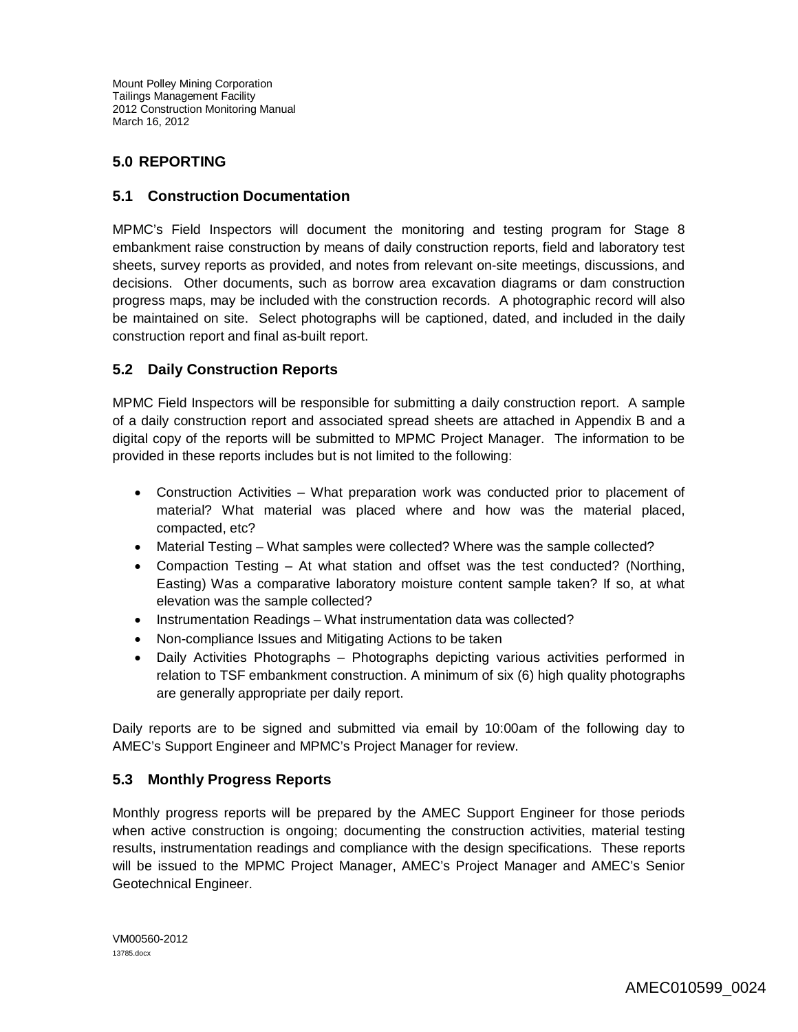## **5.0 REPORTING**

## **5.1 Construction Documentation**

MPMC's Field Inspectors will document the monitoring and testing program for Stage 8 embankment raise construction by means of daily construction reports, field and laboratory test sheets, survey reports as provided, and notes from relevant on-site meetings, discussions, and decisions. Other documents, such as borrow area excavation diagrams or dam construction progress maps, may be included with the construction records. A photographic record will also be maintained on site. Select photographs will be captioned, dated, and included in the daily construction report and final as-built report.

## **5.2 Daily Construction Reports**

MPMC Field Inspectors will be responsible for submitting a daily construction report. A sample of a daily construction report and associated spread sheets are attached in Appendix B and a digital copy of the reports will be submitted to MPMC Project Manager. The information to be provided in these reports includes but is not limited to the following:

- Construction Activities What preparation work was conducted prior to placement of material? What material was placed where and how was the material placed, compacted, etc?
- Material Testing What samples were collected? Where was the sample collected?
- Compaction Testing At what station and offset was the test conducted? (Northing, Easting) Was a comparative laboratory moisture content sample taken? If so, at what elevation was the sample collected?
- Instrumentation Readings What instrumentation data was collected?
- Non-compliance Issues and Mitigating Actions to be taken
- Daily Activities Photographs Photographs depicting various activities performed in relation to TSF embankment construction. A minimum of six (6) high quality photographs are generally appropriate per daily report.

Daily reports are to be signed and submitted via email by 10:00am of the following day to AMEC's Support Engineer and MPMC's Project Manager for review.

## **5.3 Monthly Progress Reports**

Monthly progress reports will be prepared by the AMEC Support Engineer for those periods when active construction is ongoing; documenting the construction activities, material testing results, instrumentation readings and compliance with the design specifications. These reports will be issued to the MPMC Project Manager, AMEC's Project Manager and AMEC's Senior Geotechnical Engineer.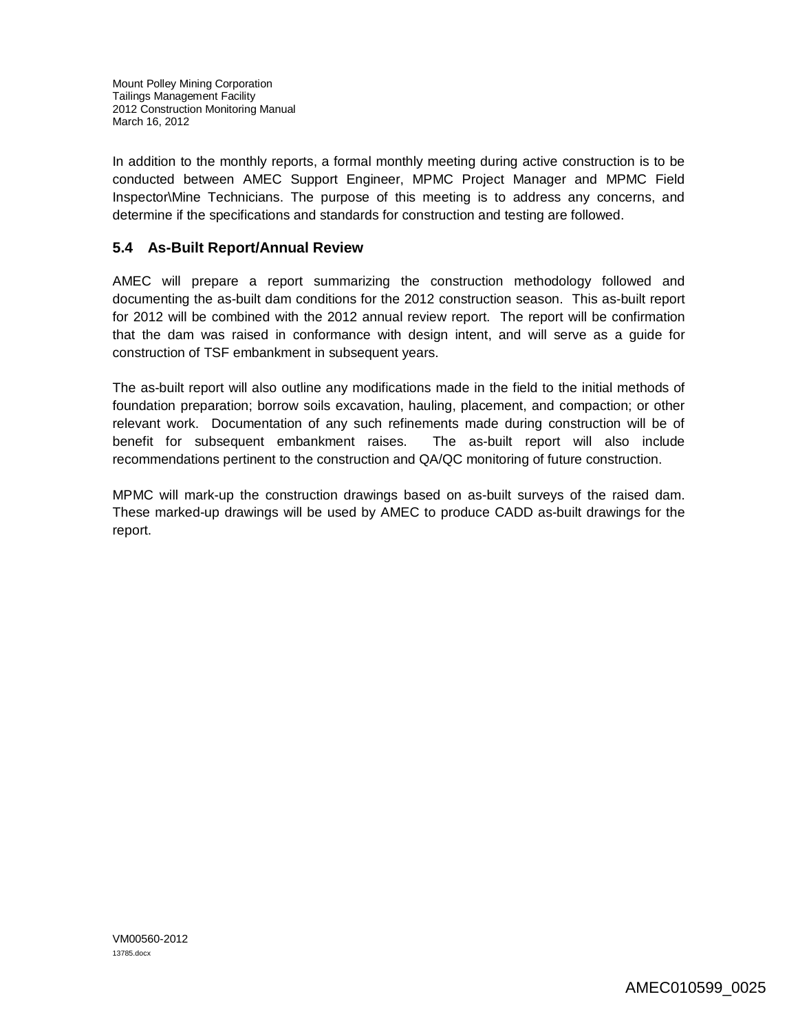In addition to the monthly reports, a formal monthly meeting during active construction is to be conducted between AMEC Support Engineer, MPMC Project Manager and MPMC Field Inspector\Mine Technicians. The purpose of this meeting is to address any concerns, and determine if the specifications and standards for construction and testing are followed.

## **5.4 As-Built Report/Annual Review**

AMEC will prepare a report summarizing the construction methodology followed and documenting the as-built dam conditions for the 2012 construction season. This as-built report for 2012 will be combined with the 2012 annual review report. The report will be confirmation that the dam was raised in conformance with design intent, and will serve as a guide for construction of TSF embankment in subsequent years.

The as-built report will also outline any modifications made in the field to the initial methods of foundation preparation; borrow soils excavation, hauling, placement, and compaction; or other relevant work. Documentation of any such refinements made during construction will be of benefit for subsequent embankment raises. The as-built report will also include recommendations pertinent to the construction and QA/QC monitoring of future construction.

MPMC will mark-up the construction drawings based on as-built surveys of the raised dam. These marked-up drawings will be used by AMEC to produce CADD as-built drawings for the report.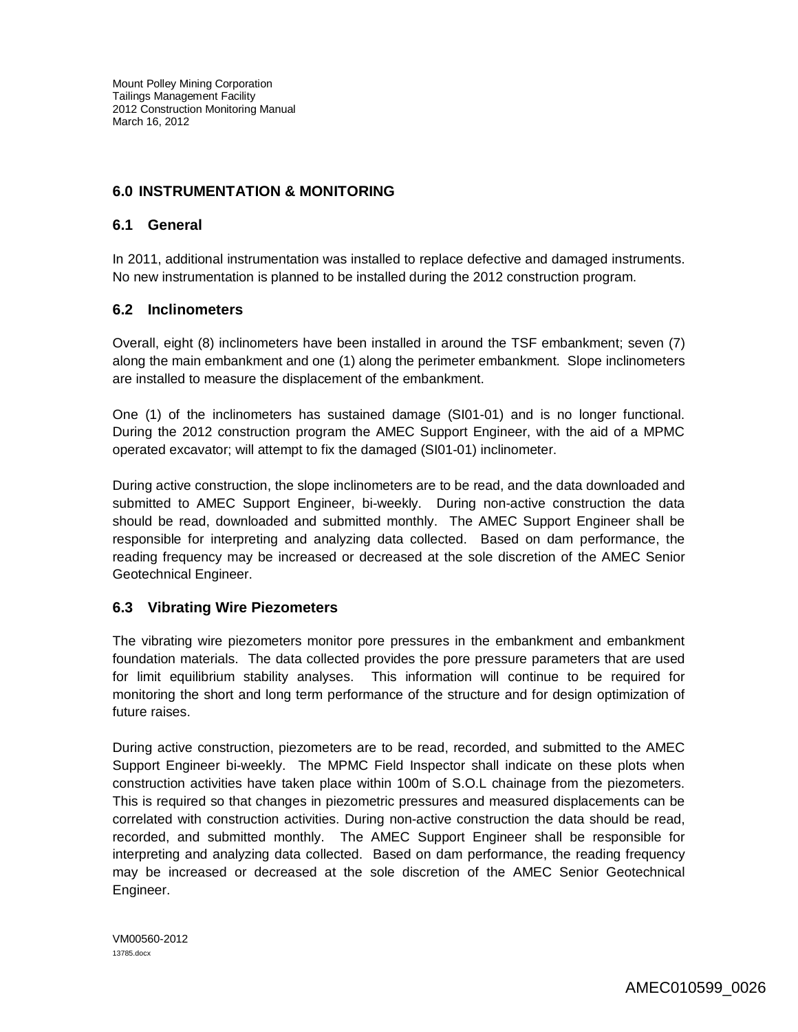## **6.0 INSTRUMENTATION & MONITORING**

### **6.1 General**

In 2011, additional instrumentation was installed to replace defective and damaged instruments. No new instrumentation is planned to be installed during the 2012 construction program.

### **6.2 Inclinometers**

Overall, eight (8) inclinometers have been installed in around the TSF embankment; seven (7) along the main embankment and one (1) along the perimeter embankment. Slope inclinometers are installed to measure the displacement of the embankment.

One (1) of the inclinometers has sustained damage (SI01-01) and is no longer functional. During the 2012 construction program the AMEC Support Engineer, with the aid of a MPMC operated excavator; will attempt to fix the damaged (SI01-01) inclinometer.

During active construction, the slope inclinometers are to be read, and the data downloaded and submitted to AMEC Support Engineer, bi-weekly. During non-active construction the data should be read, downloaded and submitted monthly. The AMEC Support Engineer shall be responsible for interpreting and analyzing data collected. Based on dam performance, the reading frequency may be increased or decreased at the sole discretion of the AMEC Senior Geotechnical Engineer.

## **6.3 Vibrating Wire Piezometers**

The vibrating wire piezometers monitor pore pressures in the embankment and embankment foundation materials. The data collected provides the pore pressure parameters that are used for limit equilibrium stability analyses. This information will continue to be required for monitoring the short and long term performance of the structure and for design optimization of future raises.

During active construction, piezometers are to be read, recorded, and submitted to the AMEC Support Engineer bi-weekly. The MPMC Field Inspector shall indicate on these plots when construction activities have taken place within 100m of S.O.L chainage from the piezometers. This is required so that changes in piezometric pressures and measured displacements can be correlated with construction activities. During non-active construction the data should be read, recorded, and submitted monthly. The AMEC Support Engineer shall be responsible for interpreting and analyzing data collected. Based on dam performance, the reading frequency may be increased or decreased at the sole discretion of the AMEC Senior Geotechnical Engineer.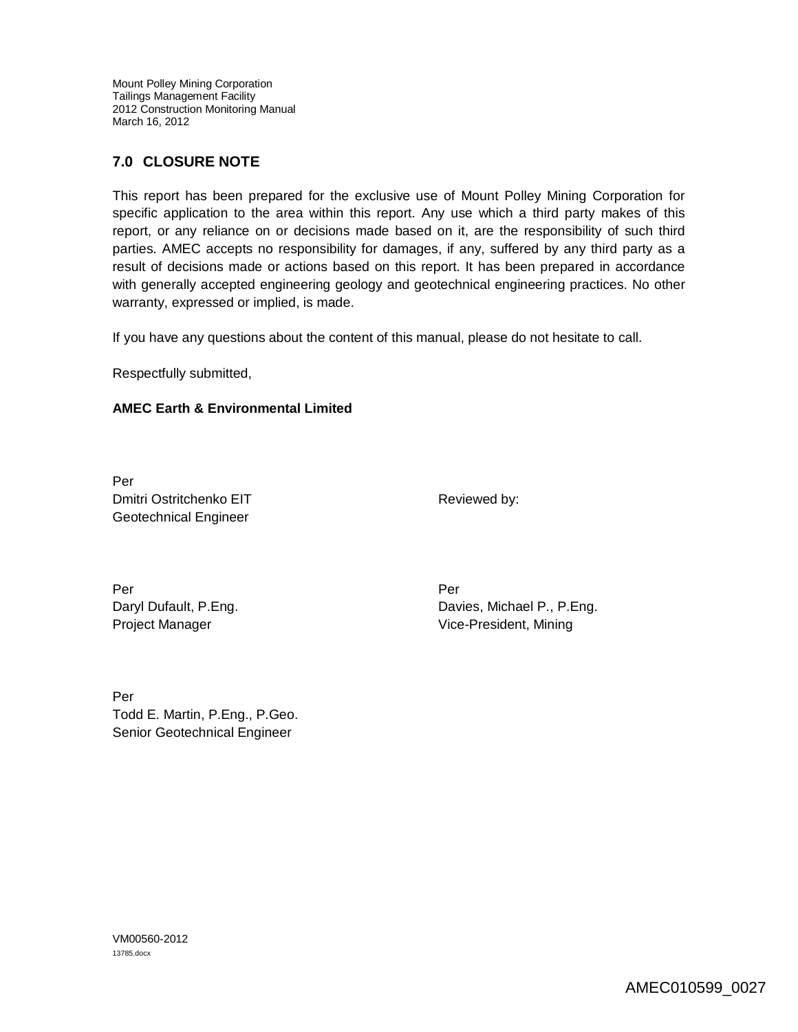## **7.0 CLOSURE NOTE**

This report has been prepared for the exclusive use of Mount Polley Mining Corporation for specific application to the area within this report. Any use which a third party makes of this report, or any reliance on or decisions made based on it, are the responsibility of such third parties. AMEC accepts no responsibility for damages, if any, suffered by any third party as a result of decisions made or actions based on this report. It has been prepared in accordance with generally accepted engineering geology and geotechnical engineering practices. No other warranty, expressed or implied, is made.

If you have any questions about the content of this manual, please do not hesitate to call.

Respectfully submitted,

### **AMEC Earth & Environmental Limited**

Per Dmitri Ostritchenko EIT Geotechnical Engineer

Reviewed by:

Per Per Daryl Dufault, P.Eng. Project Manager

Davies, Michael P., P.Eng. Vice-President, Mining

Per Todd E. Martin, P.Eng., P.Geo. Senior Geotechnical Engineer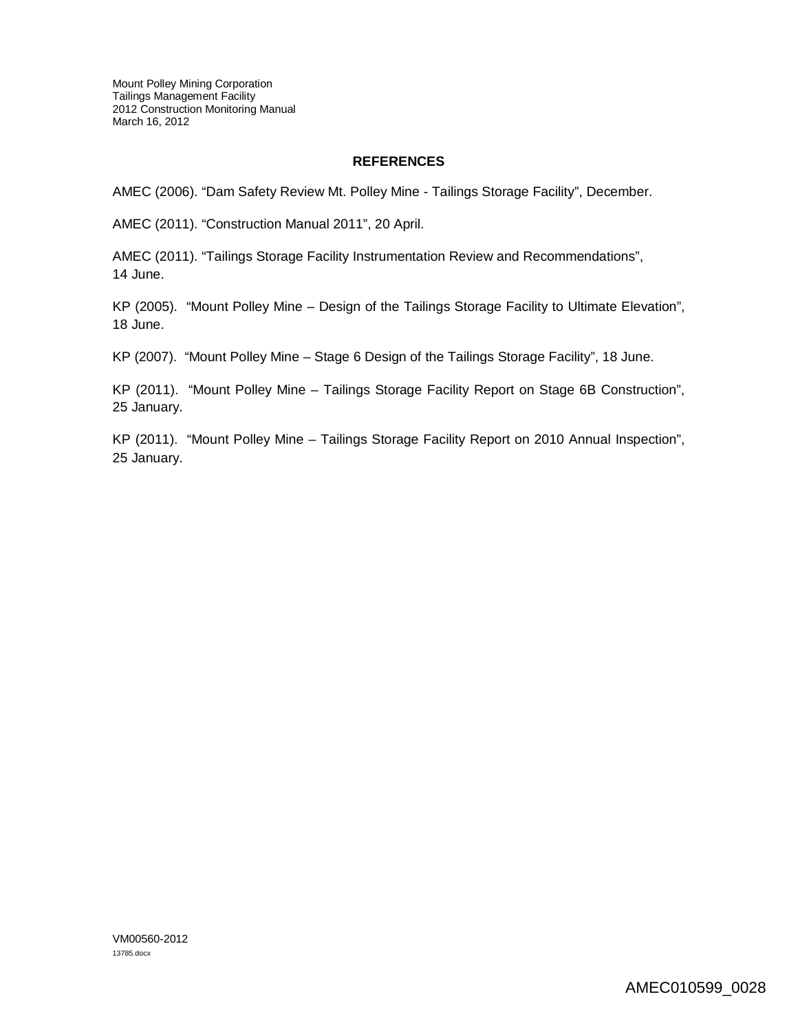#### **REFERENCES**

AMEC (2006). "Dam Safety Review Mt. Polley Mine - Tailings Storage Facility", December.

AMEC (2011). "Construction Manual 2011", 20 April.

AMEC (2011). "Tailings Storage Facility Instrumentation Review and Recommendations", 14 June.

KP (2005). "Mount Polley Mine – Design of the Tailings Storage Facility to Ultimate Elevation", 18 June.

KP (2007). "Mount Polley Mine – Stage 6 Design of the Tailings Storage Facility", 18 June.

KP (2011). "Mount Polley Mine – Tailings Storage Facility Report on Stage 6B Construction", 25 January.

KP (2011). "Mount Polley Mine – Tailings Storage Facility Report on 2010 Annual Inspection", 25 January.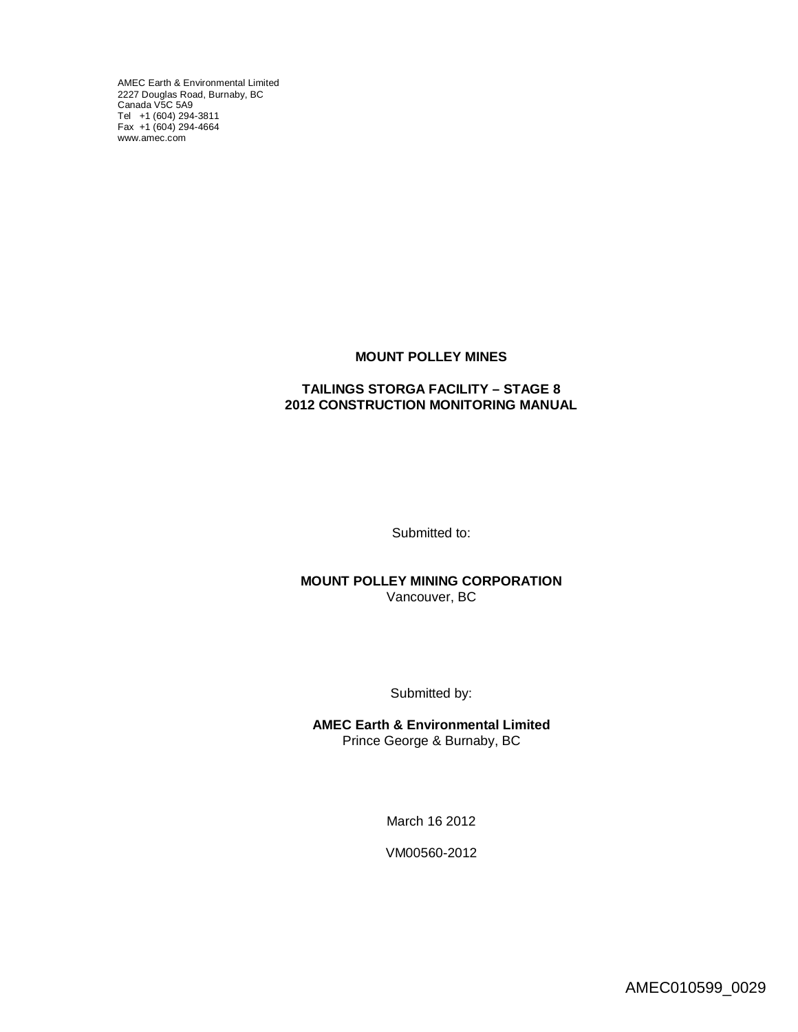AMEC Earth & Environmental Limited 2227 Douglas Road, Burnaby, BC [Canada V5C](http://www.amec.com) 5A9 Tel +1 (604) 294-3811 Fax +1 (604) 294-4664 www.amec.com

#### **MOUNT POLLEY MINES**

#### **TAILINGS STORGA FACILITY – STAGE 8 2012 CONSTRUCTION MONITORING MANUAL**

Submitted to:

**MOUNT POLLEY MINING CORPORATION** Vancouver, BC

Submitted by:

**AMEC Earth & Environmental Limited** Prince George & Burnaby, BC

March 16 2012

VM00560-2012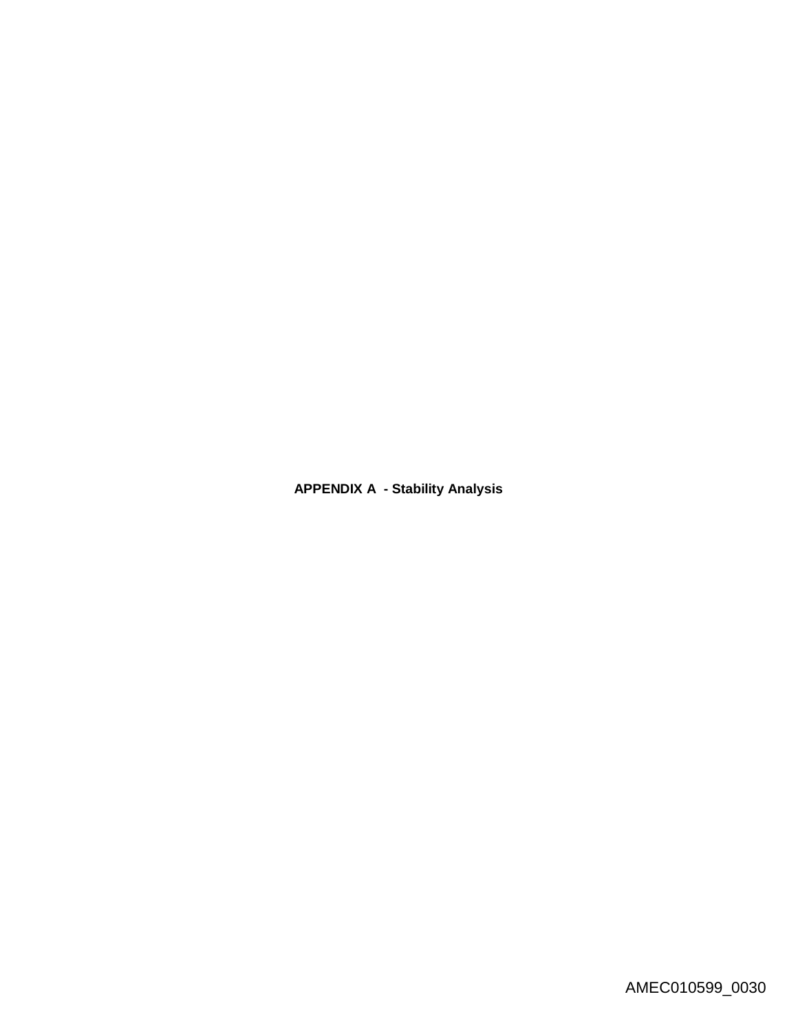**APPENDIX A - Stability Analysis**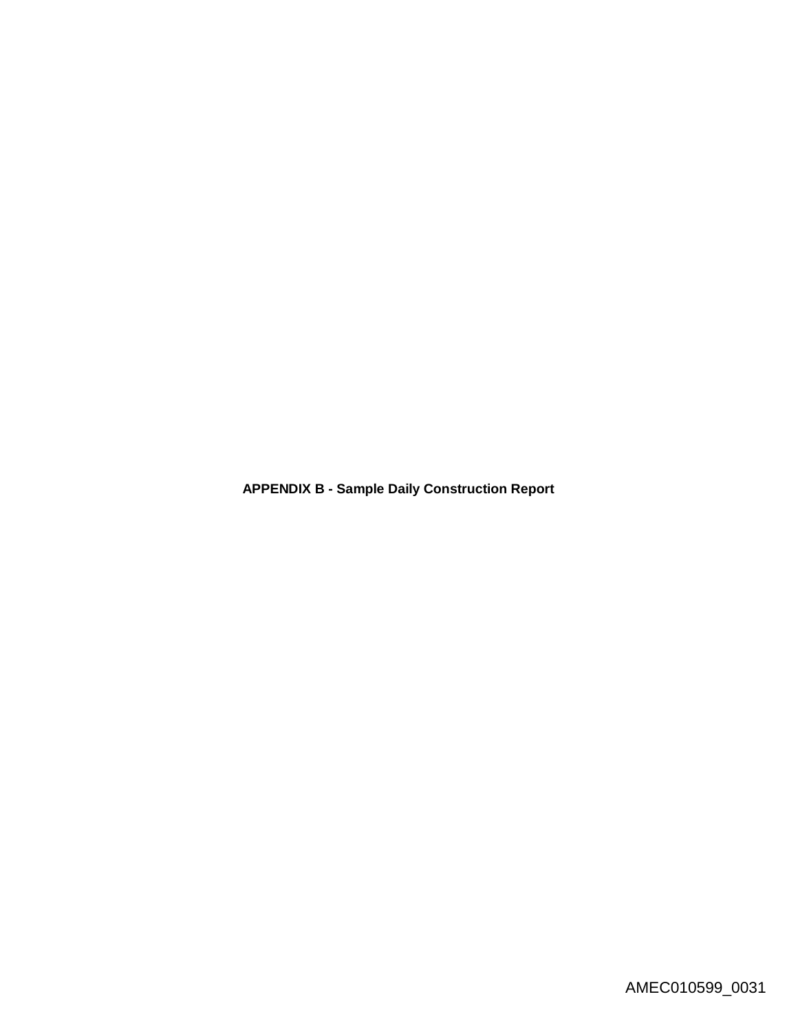**APPENDIX B - Sample Daily Construction Report**